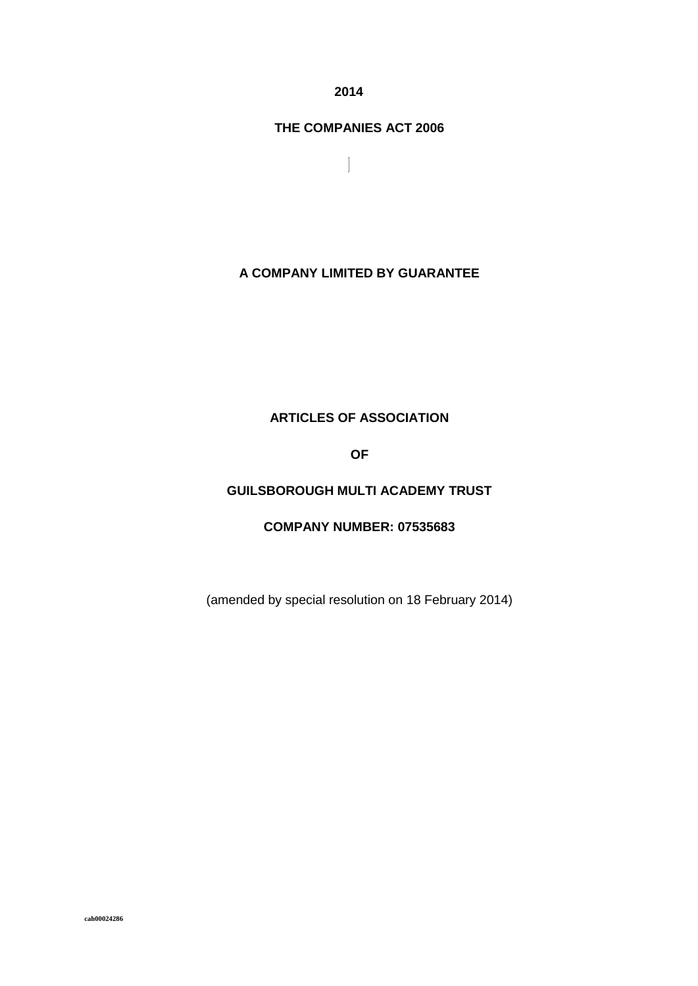**2014**

 $\overline{\phantom{a}}$ 

**THE COMPANIES ACT 2006**

**A COMPANY LIMITED BY GUARANTEE**

# **ARTICLES OF ASSOCIATION**

**OF**

# **GUILSBOROUGH MULTI ACADEMY TRUST**

## **COMPANY NUMBER: 07535683**

(amended by special resolution on 18 February 2014)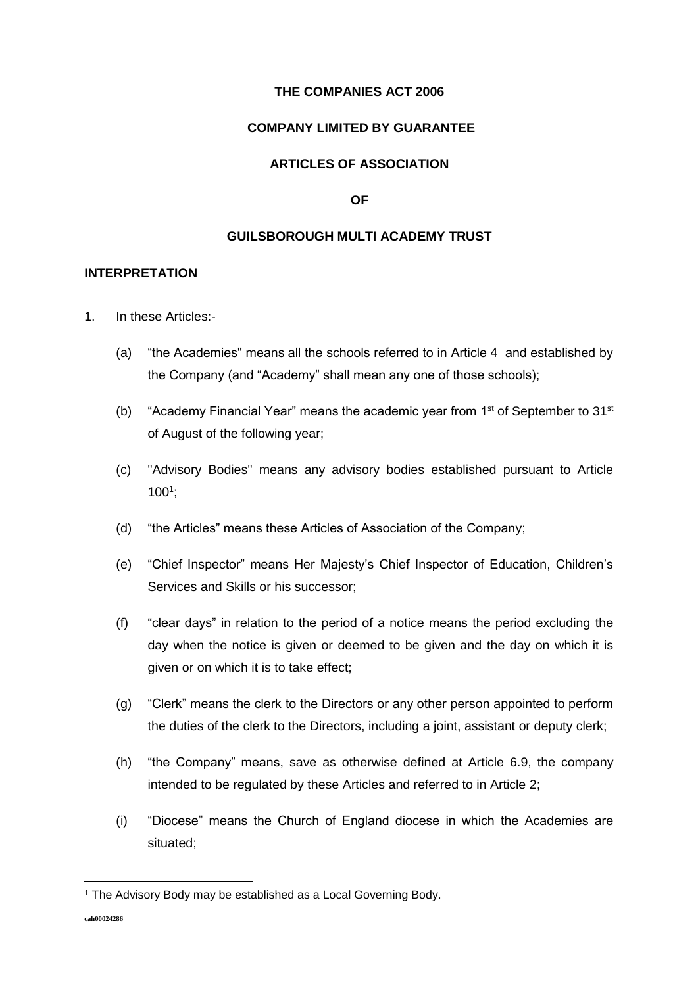# **THE COMPANIES ACT 2006**

# **COMPANY LIMITED BY GUARANTEE**

# **ARTICLES OF ASSOCIATION**

#### **OF**

#### **GUILSBOROUGH MULTI ACADEMY TRUST**

#### **INTERPRETATION**

- 1. In these Articles:-
	- (a) "the Academies" means all the schools referred to in Article 4 and established by the Company (and "Academy" shall mean any one of those schools);
	- (b) "Academy Financial Year" means the academic year from  $1<sup>st</sup>$  of September to  $31<sup>st</sup>$ of August of the following year;
	- (c) "Advisory Bodies" means any advisory bodies established pursuant to Article  $100^1$ ;
	- (d) "the Articles" means these Articles of Association of the Company;
	- (e) "Chief Inspector" means Her Majesty's Chief Inspector of Education, Children's Services and Skills or his successor;
	- (f) "clear days" in relation to the period of a notice means the period excluding the day when the notice is given or deemed to be given and the day on which it is given or on which it is to take effect;
	- (g) "Clerk" means the clerk to the Directors or any other person appointed to perform the duties of the clerk to the Directors, including a joint, assistant or deputy clerk;
	- (h) "the Company" means, save as otherwise defined at Article 6.9, the company intended to be regulated by these Articles and referred to in Article 2;
	- (i) "Diocese" means the Church of England diocese in which the Academies are situated;

1

<sup>1</sup> The Advisory Body may be established as a Local Governing Body.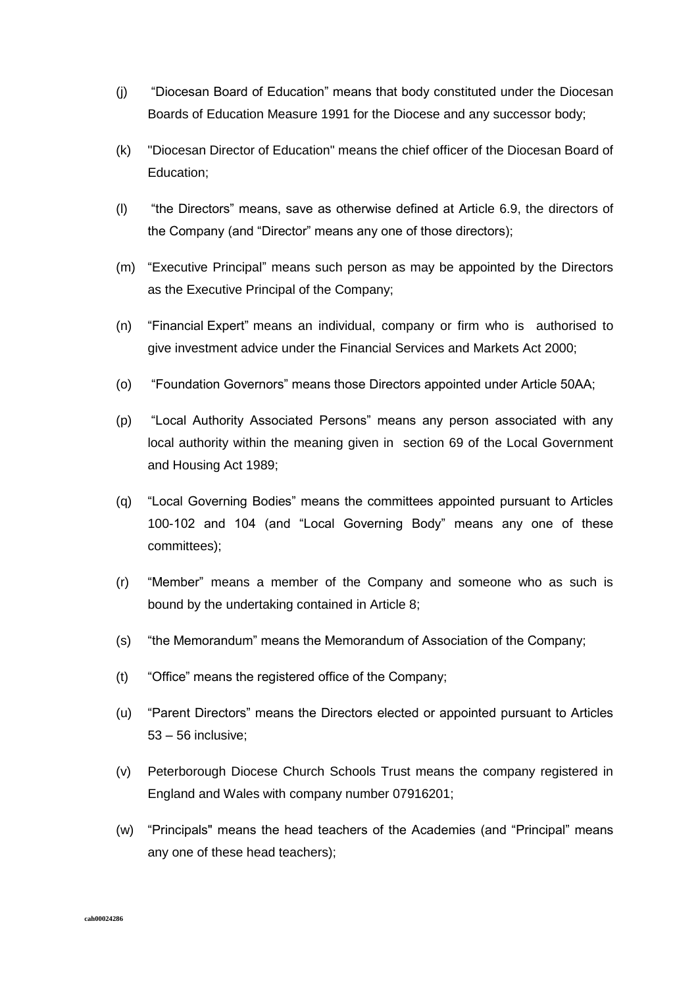- (j) "Diocesan Board of Education" means that body constituted under the Diocesan Boards of Education Measure 1991 for the Diocese and any successor body;
- (k) "Diocesan Director of Education" means the chief officer of the Diocesan Board of Education;
- (l) "the Directors" means, save as otherwise defined at Article 6.9, the directors of the Company (and "Director" means any one of those directors);
- (m) "Executive Principal" means such person as may be appointed by the Directors as the Executive Principal of the Company;
- (n) "Financial Expert" means an individual, company or firm who is authorised to give investment advice under the Financial Services and Markets Act 2000;
- (o) "Foundation Governors" means those Directors appointed under Article 50AA;
- (p) "Local Authority Associated Persons" means any person associated with any local authority within the meaning given in section 69 of the Local Government and Housing Act 1989;
- (q) "Local Governing Bodies" means the committees appointed pursuant to Articles 100-102 and 104 (and "Local Governing Body" means any one of these committees);
- (r) "Member" means a member of the Company and someone who as such is bound by the undertaking contained in Article 8;
- (s) "the Memorandum" means the Memorandum of Association of the Company;
- (t) "Office" means the registered office of the Company;
- (u) "Parent Directors" means the Directors elected or appointed pursuant to Articles 53 – 56 inclusive;
- (v) Peterborough Diocese Church Schools Trust means the company registered in England and Wales with company number 07916201;
- (w) "Principals" means the head teachers of the Academies (and "Principal" means any one of these head teachers);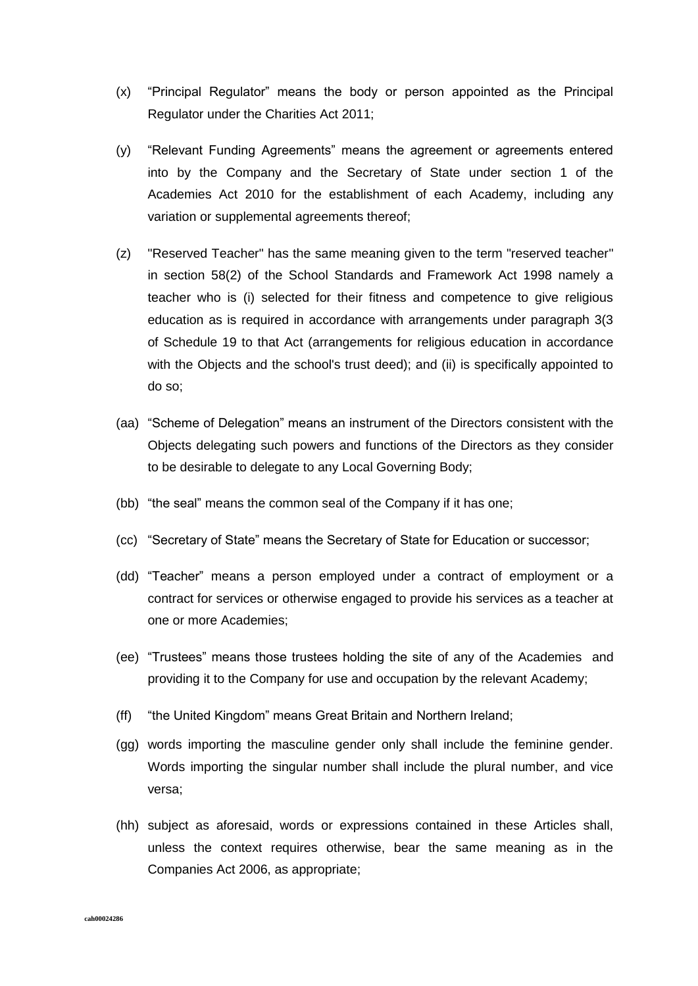- (x) "Principal Regulator" means the body or person appointed as the Principal Regulator under the Charities Act 2011;
- (y) "Relevant Funding Agreements" means the agreement or agreements entered into by the Company and the Secretary of State under section 1 of the Academies Act 2010 for the establishment of each Academy, including any variation or supplemental agreements thereof;
- (z) "Reserved Teacher" has the same meaning given to the term "reserved teacher" in section 58(2) of the School Standards and Framework Act 1998 namely a teacher who is (i) selected for their fitness and competence to give religious education as is required in accordance with arrangements under paragraph 3(3 of Schedule 19 to that Act (arrangements for religious education in accordance with the Objects and the school's trust deed); and (ii) is specifically appointed to do so;
- (aa) "Scheme of Delegation" means an instrument of the Directors consistent with the Objects delegating such powers and functions of the Directors as they consider to be desirable to delegate to any Local Governing Body;
- (bb) "the seal" means the common seal of the Company if it has one;
- (cc) "Secretary of State" means the Secretary of State for Education or successor;
- (dd) "Teacher" means a person employed under a contract of employment or a contract for services or otherwise engaged to provide his services as a teacher at one or more Academies;
- (ee) "Trustees" means those trustees holding the site of any of the Academies and providing it to the Company for use and occupation by the relevant Academy;
- (ff) "the United Kingdom" means Great Britain and Northern Ireland;
- (gg) words importing the masculine gender only shall include the feminine gender. Words importing the singular number shall include the plural number, and vice versa;
- (hh) subject as aforesaid, words or expressions contained in these Articles shall, unless the context requires otherwise, bear the same meaning as in the Companies Act 2006, as appropriate;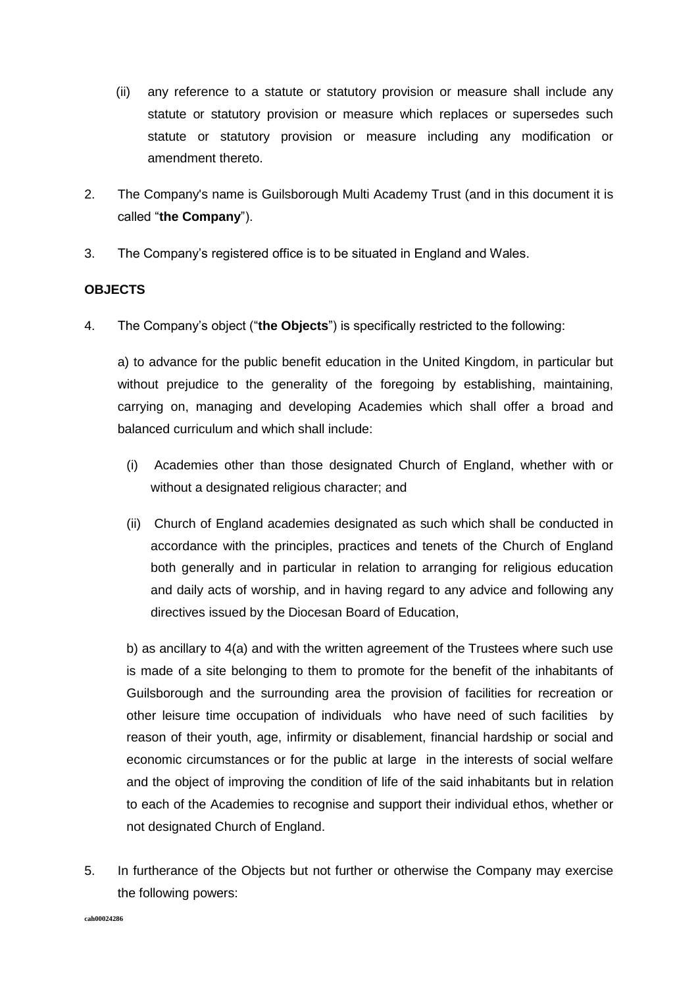- (ii) any reference to a statute or statutory provision or measure shall include any statute or statutory provision or measure which replaces or supersedes such statute or statutory provision or measure including any modification or amendment thereto.
- 2. The Company's name is Guilsborough Multi Academy Trust (and in this document it is called "**the Company**").
- 3. The Company's registered office is to be situated in England and Wales.

# **OBJECTS**

4. The Company's object ("**the Objects**") is specifically restricted to the following:

a) to advance for the public benefit education in the United Kingdom, in particular but without prejudice to the generality of the foregoing by establishing, maintaining, carrying on, managing and developing Academies which shall offer a broad and balanced curriculum and which shall include:

- (i) Academies other than those designated Church of England, whether with or without a designated religious character; and
- (ii) Church of England academies designated as such which shall be conducted in accordance with the principles, practices and tenets of the Church of England both generally and in particular in relation to arranging for religious education and daily acts of worship, and in having regard to any advice and following any directives issued by the Diocesan Board of Education,

b) as ancillary to 4(a) and with the written agreement of the Trustees where such use is made of a site belonging to them to promote for the benefit of the inhabitants of Guilsborough and the surrounding area the provision of facilities for recreation or other leisure time occupation of individuals who have need of such facilities by reason of their youth, age, infirmity or disablement, financial hardship or social and economic circumstances or for the public at large in the interests of social welfare and the object of improving the condition of life of the said inhabitants but in relation to each of the Academies to recognise and support their individual ethos, whether or not designated Church of England.

5. In furtherance of the Objects but not further or otherwise the Company may exercise the following powers: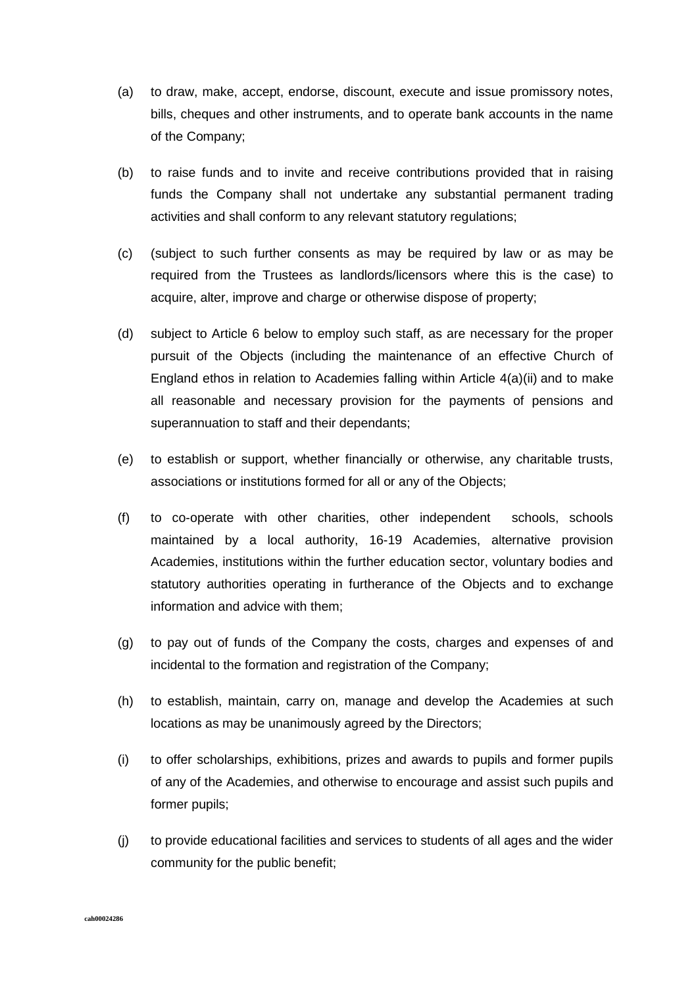- (a) to draw, make, accept, endorse, discount, execute and issue promissory notes, bills, cheques and other instruments, and to operate bank accounts in the name of the Company;
- (b) to raise funds and to invite and receive contributions provided that in raising funds the Company shall not undertake any substantial permanent trading activities and shall conform to any relevant statutory regulations;
- (c) (subject to such further consents as may be required by law or as may be required from the Trustees as landlords/licensors where this is the case) to acquire, alter, improve and charge or otherwise dispose of property;
- (d) subject to Article 6 below to employ such staff, as are necessary for the proper pursuit of the Objects (including the maintenance of an effective Church of England ethos in relation to Academies falling within Article 4(a)(ii) and to make all reasonable and necessary provision for the payments of pensions and superannuation to staff and their dependants;
- (e) to establish or support, whether financially or otherwise, any charitable trusts, associations or institutions formed for all or any of the Objects;
- (f) to co-operate with other charities, other independent schools, schools maintained by a local authority, 16-19 Academies, alternative provision Academies, institutions within the further education sector, voluntary bodies and statutory authorities operating in furtherance of the Objects and to exchange information and advice with them;
- (g) to pay out of funds of the Company the costs, charges and expenses of and incidental to the formation and registration of the Company;
- (h) to establish, maintain, carry on, manage and develop the Academies at such locations as may be unanimously agreed by the Directors;
- (i) to offer scholarships, exhibitions, prizes and awards to pupils and former pupils of any of the Academies, and otherwise to encourage and assist such pupils and former pupils;
- (j) to provide educational facilities and services to students of all ages and the wider community for the public benefit;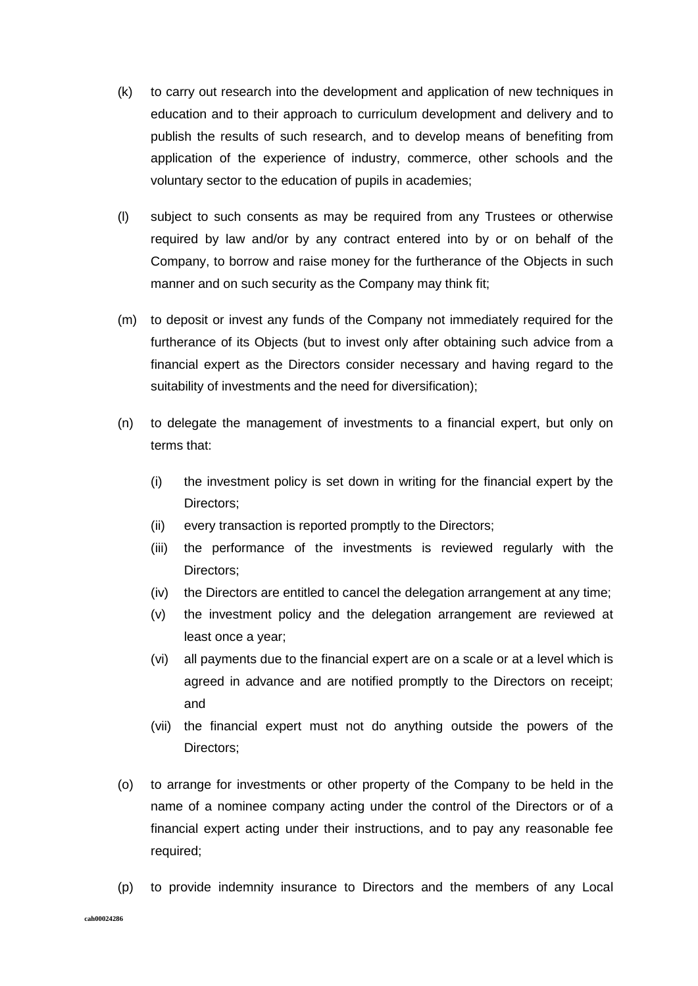- (k) to carry out research into the development and application of new techniques in education and to their approach to curriculum development and delivery and to publish the results of such research, and to develop means of benefiting from application of the experience of industry, commerce, other schools and the voluntary sector to the education of pupils in academies;
- (l) subject to such consents as may be required from any Trustees or otherwise required by law and/or by any contract entered into by or on behalf of the Company, to borrow and raise money for the furtherance of the Objects in such manner and on such security as the Company may think fit;
- (m) to deposit or invest any funds of the Company not immediately required for the furtherance of its Objects (but to invest only after obtaining such advice from a financial expert as the Directors consider necessary and having regard to the suitability of investments and the need for diversification);
- (n) to delegate the management of investments to a financial expert, but only on terms that:
	- (i) the investment policy is set down in writing for the financial expert by the Directors;
	- (ii) every transaction is reported promptly to the Directors;
	- (iii) the performance of the investments is reviewed regularly with the Directors;
	- (iv) the Directors are entitled to cancel the delegation arrangement at any time;
	- (v) the investment policy and the delegation arrangement are reviewed at least once a year;
	- (vi) all payments due to the financial expert are on a scale or at a level which is agreed in advance and are notified promptly to the Directors on receipt; and
	- (vii) the financial expert must not do anything outside the powers of the Directors;
- (o) to arrange for investments or other property of the Company to be held in the name of a nominee company acting under the control of the Directors or of a financial expert acting under their instructions, and to pay any reasonable fee required;
- (p) to provide indemnity insurance to Directors and the members of any Local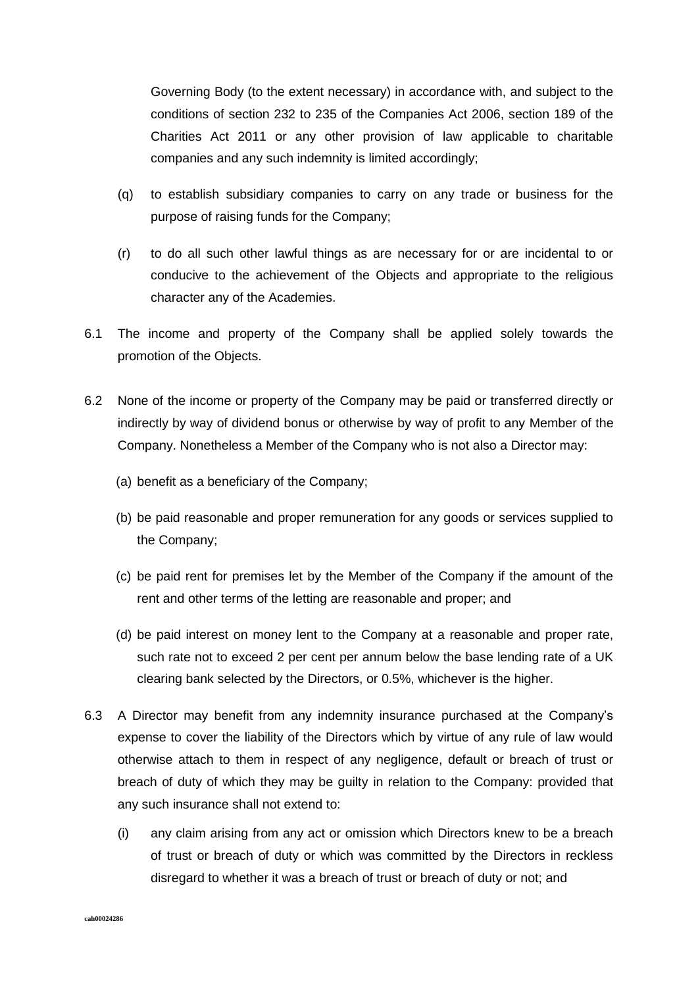Governing Body (to the extent necessary) in accordance with, and subject to the conditions of section 232 to 235 of the Companies Act 2006, section 189 of the Charities Act 2011 or any other provision of law applicable to charitable companies and any such indemnity is limited accordingly;

- (q) to establish subsidiary companies to carry on any trade or business for the purpose of raising funds for the Company;
- (r) to do all such other lawful things as are necessary for or are incidental to or conducive to the achievement of the Objects and appropriate to the religious character any of the Academies.
- 6.1 The income and property of the Company shall be applied solely towards the promotion of the Objects.
- 6.2 None of the income or property of the Company may be paid or transferred directly or indirectly by way of dividend bonus or otherwise by way of profit to any Member of the Company. Nonetheless a Member of the Company who is not also a Director may:
	- (a) benefit as a beneficiary of the Company;
	- (b) be paid reasonable and proper remuneration for any goods or services supplied to the Company;
	- (c) be paid rent for premises let by the Member of the Company if the amount of the rent and other terms of the letting are reasonable and proper; and
	- (d) be paid interest on money lent to the Company at a reasonable and proper rate, such rate not to exceed 2 per cent per annum below the base lending rate of a UK clearing bank selected by the Directors, or 0.5%, whichever is the higher.
- 6.3 A Director may benefit from any indemnity insurance purchased at the Company's expense to cover the liability of the Directors which by virtue of any rule of law would otherwise attach to them in respect of any negligence, default or breach of trust or breach of duty of which they may be guilty in relation to the Company: provided that any such insurance shall not extend to:
	- (i) any claim arising from any act or omission which Directors knew to be a breach of trust or breach of duty or which was committed by the Directors in reckless disregard to whether it was a breach of trust or breach of duty or not; and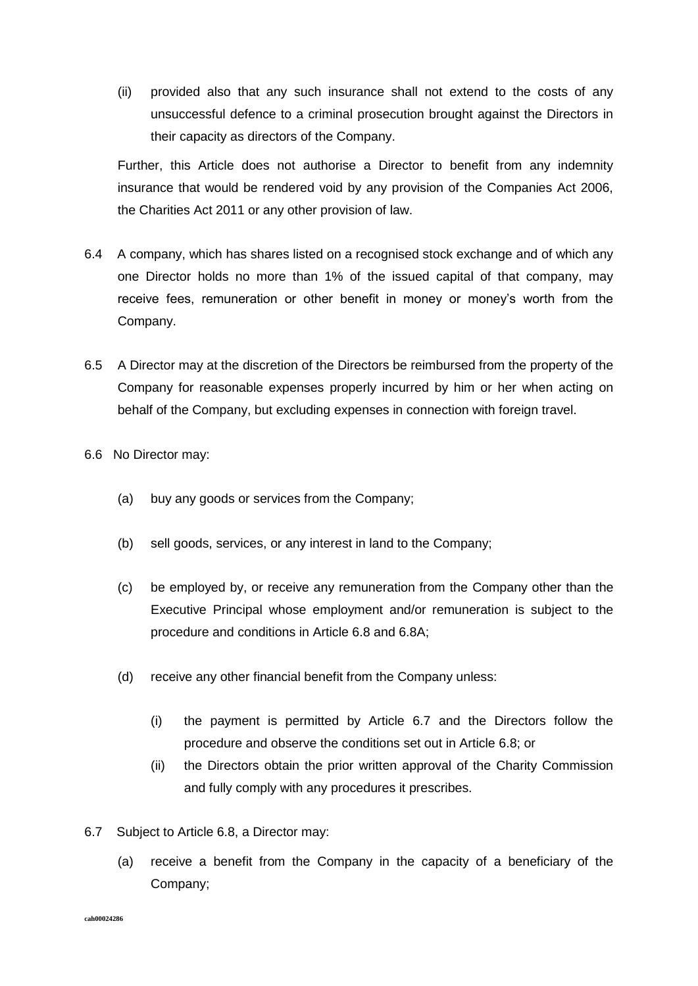(ii) provided also that any such insurance shall not extend to the costs of any unsuccessful defence to a criminal prosecution brought against the Directors in their capacity as directors of the Company.

Further, this Article does not authorise a Director to benefit from any indemnity insurance that would be rendered void by any provision of the Companies Act 2006, the Charities Act 2011 or any other provision of law.

- 6.4 A company, which has shares listed on a recognised stock exchange and of which any one Director holds no more than 1% of the issued capital of that company, may receive fees, remuneration or other benefit in money or money's worth from the Company.
- 6.5 A Director may at the discretion of the Directors be reimbursed from the property of the Company for reasonable expenses properly incurred by him or her when acting on behalf of the Company, but excluding expenses in connection with foreign travel.
- 6.6 No Director may:
	- (a) buy any goods or services from the Company;
	- (b) sell goods, services, or any interest in land to the Company;
	- (c) be employed by, or receive any remuneration from the Company other than the Executive Principal whose employment and/or remuneration is subject to the procedure and conditions in Article 6.8 and 6.8A;
	- (d) receive any other financial benefit from the Company unless:
		- (i) the payment is permitted by Article 6.7 and the Directors follow the procedure and observe the conditions set out in Article 6.8; or
		- (ii) the Directors obtain the prior written approval of the Charity Commission and fully comply with any procedures it prescribes.
- 6.7 Subject to Article 6.8, a Director may:
	- (a) receive a benefit from the Company in the capacity of a beneficiary of the Company;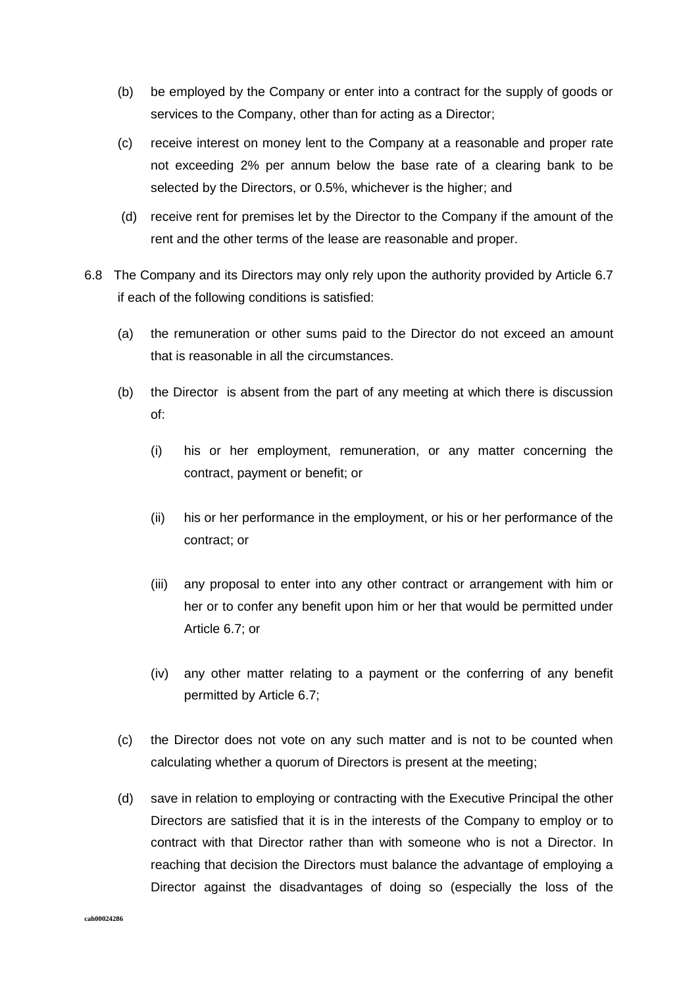- (b) be employed by the Company or enter into a contract for the supply of goods or services to the Company, other than for acting as a Director;
- (c) receive interest on money lent to the Company at a reasonable and proper rate not exceeding 2% per annum below the base rate of a clearing bank to be selected by the Directors, or 0.5%, whichever is the higher; and
- (d) receive rent for premises let by the Director to the Company if the amount of the rent and the other terms of the lease are reasonable and proper.
- 6.8 The Company and its Directors may only rely upon the authority provided by Article 6.7 if each of the following conditions is satisfied:
	- (a) the remuneration or other sums paid to the Director do not exceed an amount that is reasonable in all the circumstances.
	- (b) the Director is absent from the part of any meeting at which there is discussion of:
		- (i) his or her employment, remuneration, or any matter concerning the contract, payment or benefit; or
		- (ii) his or her performance in the employment, or his or her performance of the contract; or
		- (iii) any proposal to enter into any other contract or arrangement with him or her or to confer any benefit upon him or her that would be permitted under Article 6.7; or
		- (iv) any other matter relating to a payment or the conferring of any benefit permitted by Article 6.7;
	- (c) the Director does not vote on any such matter and is not to be counted when calculating whether a quorum of Directors is present at the meeting;
	- (d) save in relation to employing or contracting with the Executive Principal the other Directors are satisfied that it is in the interests of the Company to employ or to contract with that Director rather than with someone who is not a Director. In reaching that decision the Directors must balance the advantage of employing a Director against the disadvantages of doing so (especially the loss of the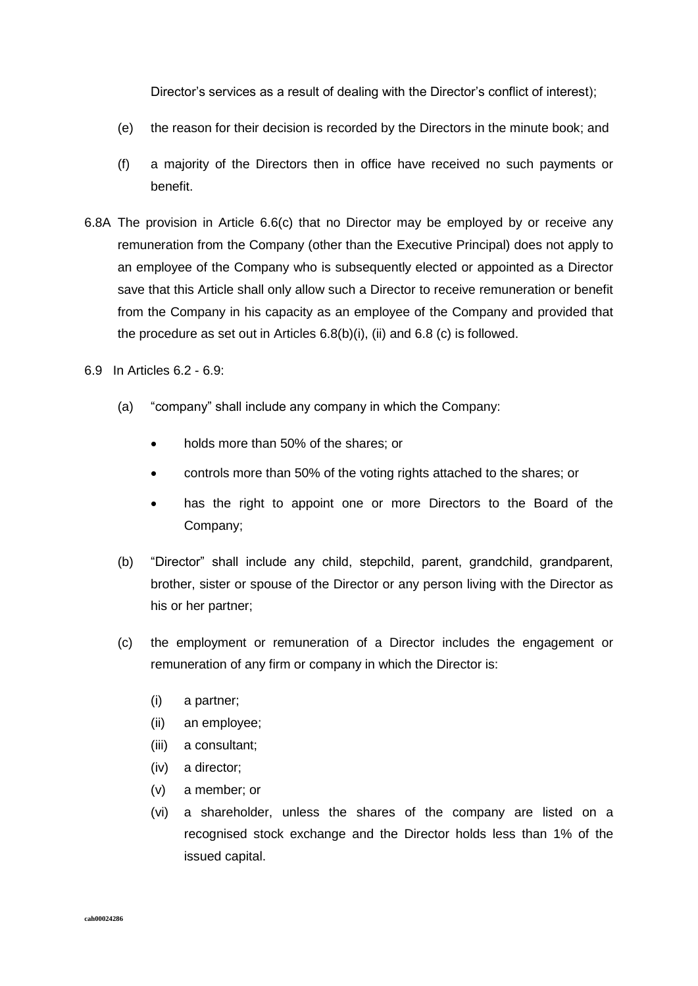Director's services as a result of dealing with the Director's conflict of interest);

- (e) the reason for their decision is recorded by the Directors in the minute book; and
- (f) a majority of the Directors then in office have received no such payments or benefit.
- 6.8A The provision in Article 6.6(c) that no Director may be employed by or receive any remuneration from the Company (other than the Executive Principal) does not apply to an employee of the Company who is subsequently elected or appointed as a Director save that this Article shall only allow such a Director to receive remuneration or benefit from the Company in his capacity as an employee of the Company and provided that the procedure as set out in Articles 6.8(b)(i), (ii) and 6.8 (c) is followed.
- 6.9 In Articles 6.2 6.9:
	- (a) "company" shall include any company in which the Company:
		- holds more than 50% of the shares; or
		- controls more than 50% of the voting rights attached to the shares; or
		- has the right to appoint one or more Directors to the Board of the Company;
	- (b) "Director" shall include any child, stepchild, parent, grandchild, grandparent, brother, sister or spouse of the Director or any person living with the Director as his or her partner;
	- (c) the employment or remuneration of a Director includes the engagement or remuneration of any firm or company in which the Director is:
		- (i) a partner;
		- (ii) an employee;
		- (iii) a consultant;
		- (iv) a director;
		- (v) a member; or
		- (vi) a shareholder, unless the shares of the company are listed on a recognised stock exchange and the Director holds less than 1% of the issued capital.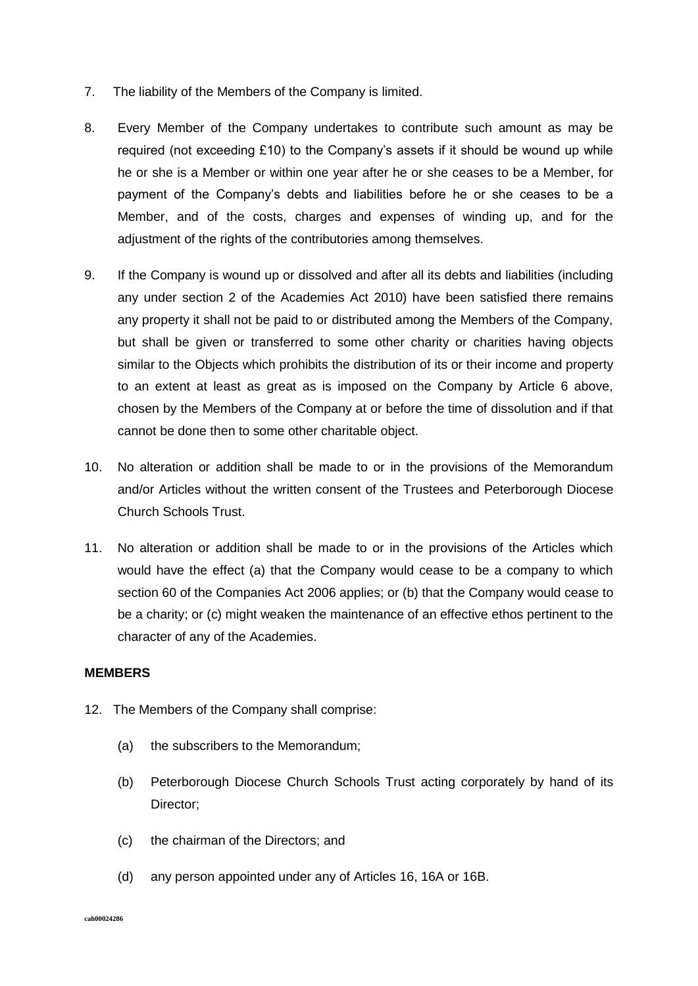- 7. The liability of the Members of the Company is limited.
- 8. Every Member of the Company undertakes to contribute such amount as may be required (not exceeding £10) to the Company's assets if it should be wound up while he or she is a Member or within one year after he or she ceases to be a Member, for payment of the Company's debts and liabilities before he or she ceases to be a Member, and of the costs, charges and expenses of winding up, and for the adjustment of the rights of the contributories among themselves.
- 9. If the Company is wound up or dissolved and after all its debts and liabilities (including any under section 2 of the Academies Act 2010) have been satisfied there remains any property it shall not be paid to or distributed among the Members of the Company, but shall be given or transferred to some other charity or charities having objects similar to the Objects which prohibits the distribution of its or their income and property to an extent at least as great as is imposed on the Company by Article 6 above, chosen by the Members of the Company at or before the time of dissolution and if that cannot be done then to some other charitable object.
- 10. No alteration or addition shall be made to or in the provisions of the Memorandum and/or Articles without the written consent of the Trustees and Peterborough Diocese Church Schools Trust.
- 11. No alteration or addition shall be made to or in the provisions of the Articles which would have the effect (a) that the Company would cease to be a company to which section 60 of the Companies Act 2006 applies; or (b) that the Company would cease to be a charity; or (c) might weaken the maintenance of an effective ethos pertinent to the character of any of the Academies.

#### **MEMBERS**

- 12. The Members of the Company shall comprise:
	- (a) the subscribers to the Memorandum;
	- (b) Peterborough Diocese Church Schools Trust acting corporately by hand of its Director;
	- (c) the chairman of the Directors; and
	- (d) any person appointed under any of Articles 16, 16A or 16B.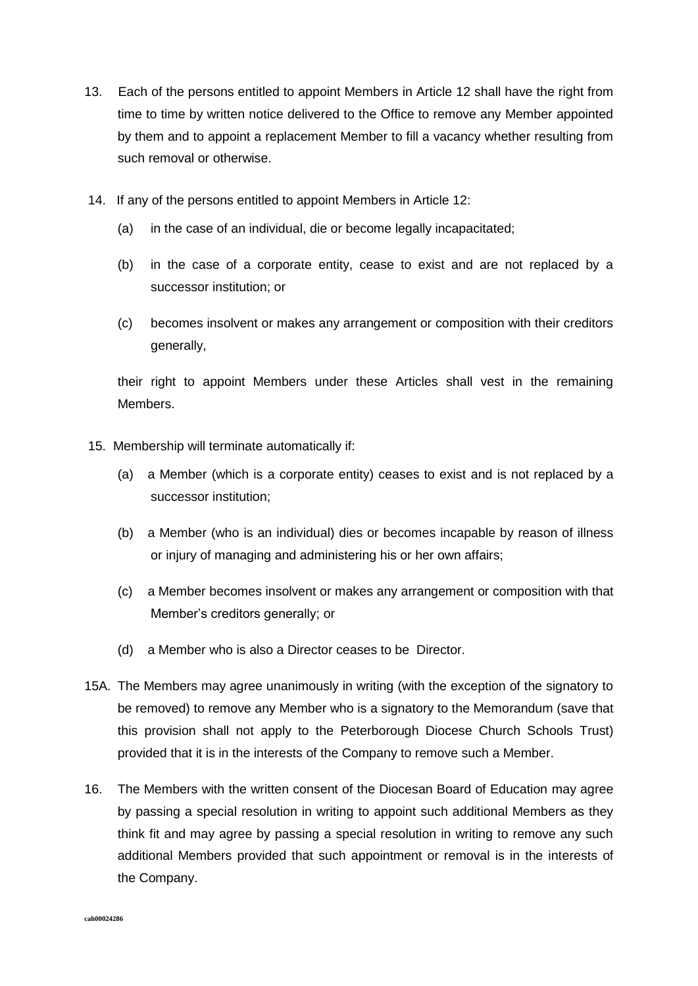- 13. Each of the persons entitled to appoint Members in Article 12 shall have the right from time to time by written notice delivered to the Office to remove any Member appointed by them and to appoint a replacement Member to fill a vacancy whether resulting from such removal or otherwise.
- 14. If any of the persons entitled to appoint Members in Article 12:
	- (a) in the case of an individual, die or become legally incapacitated;
	- (b) in the case of a corporate entity, cease to exist and are not replaced by a successor institution; or
	- (c) becomes insolvent or makes any arrangement or composition with their creditors generally,

their right to appoint Members under these Articles shall vest in the remaining Members.

- 15. Membership will terminate automatically if:
	- (a) a Member (which is a corporate entity) ceases to exist and is not replaced by a successor institution;
	- (b) a Member (who is an individual) dies or becomes incapable by reason of illness or injury of managing and administering his or her own affairs;
	- (c) a Member becomes insolvent or makes any arrangement or composition with that Member's creditors generally; or
	- (d) a Member who is also a Director ceases to be Director.
- 15A. The Members may agree unanimously in writing (with the exception of the signatory to be removed) to remove any Member who is a signatory to the Memorandum (save that this provision shall not apply to the Peterborough Diocese Church Schools Trust) provided that it is in the interests of the Company to remove such a Member.
- 16. The Members with the written consent of the Diocesan Board of Education may agree by passing a special resolution in writing to appoint such additional Members as they think fit and may agree by passing a special resolution in writing to remove any such additional Members provided that such appointment or removal is in the interests of the Company.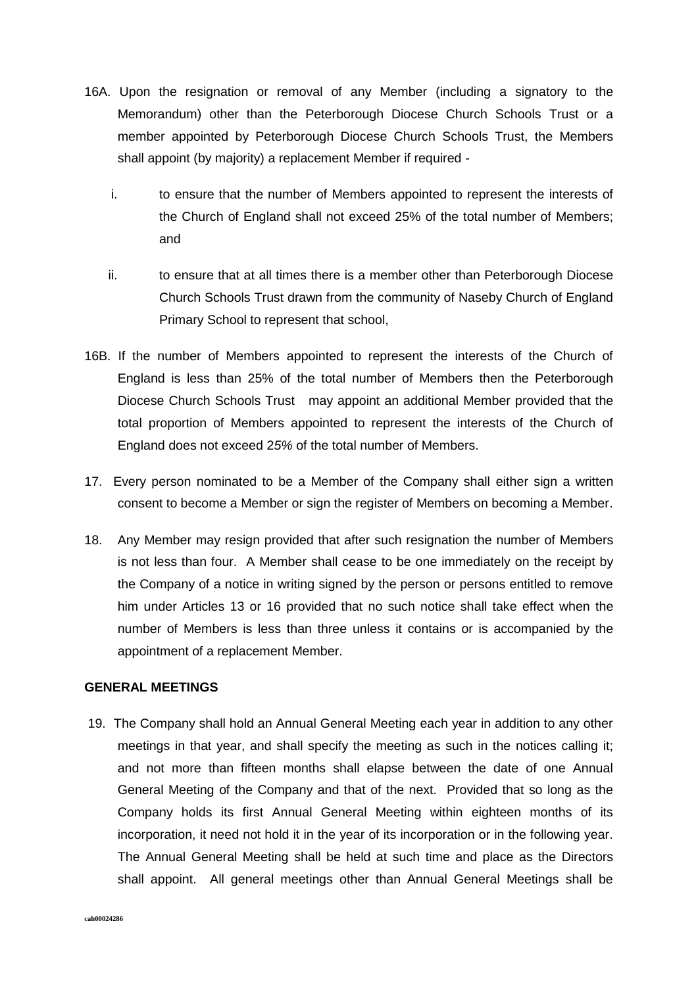- 16A. Upon the resignation or removal of any Member (including a signatory to the Memorandum) other than the Peterborough Diocese Church Schools Trust or a member appointed by Peterborough Diocese Church Schools Trust, the Members shall appoint (by majority) a replacement Member if required
	- i. to ensure that the number of Members appointed to represent the interests of the Church of England shall not exceed 25% of the total number of Members; and
	- ii. to ensure that at all times there is a member other than Peterborough Diocese Church Schools Trust drawn from the community of Naseby Church of England Primary School to represent that school,
- 16B. If the number of Members appointed to represent the interests of the Church of England is less than 25% of the total number of Members then the Peterborough Diocese Church Schools Trust may appoint an additional Member provided that the total proportion of Members appointed to represent the interests of the Church of England does not exceed 2*5%* of the total number of Members.
- 17. Every person nominated to be a Member of the Company shall either sign a written consent to become a Member or sign the register of Members on becoming a Member.
- 18. Any Member may resign provided that after such resignation the number of Members is not less than four. A Member shall cease to be one immediately on the receipt by the Company of a notice in writing signed by the person or persons entitled to remove him under Articles 13 or 16 provided that no such notice shall take effect when the number of Members is less than three unless it contains or is accompanied by the appointment of a replacement Member.

# **GENERAL MEETINGS**

19. The Company shall hold an Annual General Meeting each year in addition to any other meetings in that year, and shall specify the meeting as such in the notices calling it; and not more than fifteen months shall elapse between the date of one Annual General Meeting of the Company and that of the next. Provided that so long as the Company holds its first Annual General Meeting within eighteen months of its incorporation, it need not hold it in the year of its incorporation or in the following year. The Annual General Meeting shall be held at such time and place as the Directors shall appoint. All general meetings other than Annual General Meetings shall be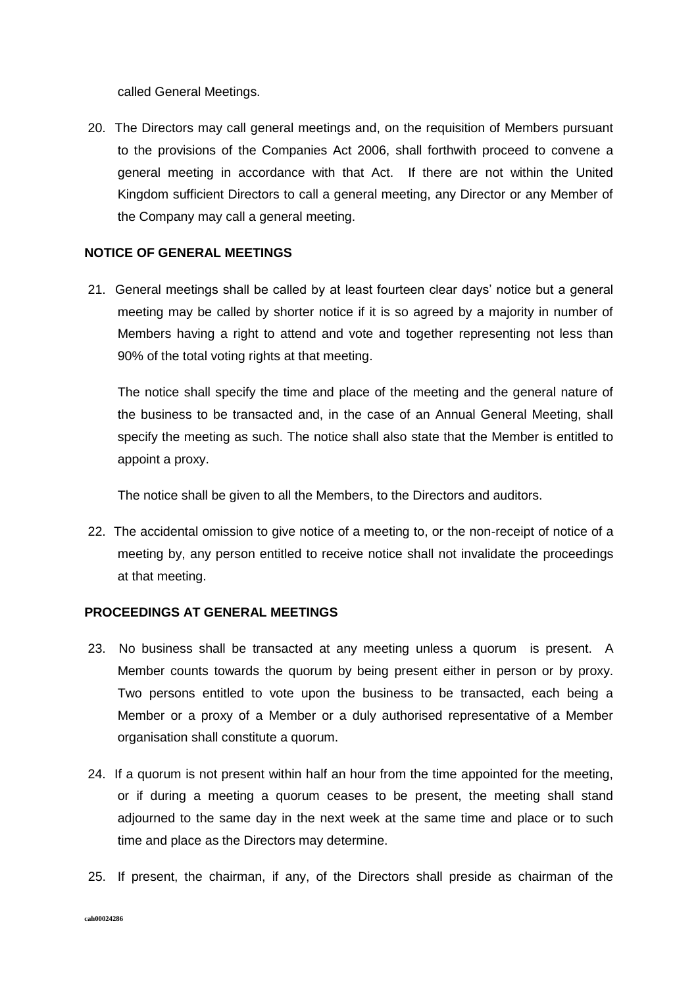called General Meetings.

20. The Directors may call general meetings and, on the requisition of Members pursuant to the provisions of the Companies Act 2006, shall forthwith proceed to convene a general meeting in accordance with that Act. If there are not within the United Kingdom sufficient Directors to call a general meeting, any Director or any Member of the Company may call a general meeting.

## **NOTICE OF GENERAL MEETINGS**

21. General meetings shall be called by at least fourteen clear days' notice but a general meeting may be called by shorter notice if it is so agreed by a majority in number of Members having a right to attend and vote and together representing not less than 90% of the total voting rights at that meeting.

The notice shall specify the time and place of the meeting and the general nature of the business to be transacted and, in the case of an Annual General Meeting, shall specify the meeting as such. The notice shall also state that the Member is entitled to appoint a proxy.

The notice shall be given to all the Members, to the Directors and auditors.

22. The accidental omission to give notice of a meeting to, or the non-receipt of notice of a meeting by, any person entitled to receive notice shall not invalidate the proceedings at that meeting.

## **PROCEEDINGS AT GENERAL MEETINGS**

- 23. No business shall be transacted at any meeting unless a quorum is present. A Member counts towards the quorum by being present either in person or by proxy. Two persons entitled to vote upon the business to be transacted, each being a Member or a proxy of a Member or a duly authorised representative of a Member organisation shall constitute a quorum.
- 24. If a quorum is not present within half an hour from the time appointed for the meeting, or if during a meeting a quorum ceases to be present, the meeting shall stand adjourned to the same day in the next week at the same time and place or to such time and place as the Directors may determine.
- 25. If present, the chairman, if any, of the Directors shall preside as chairman of the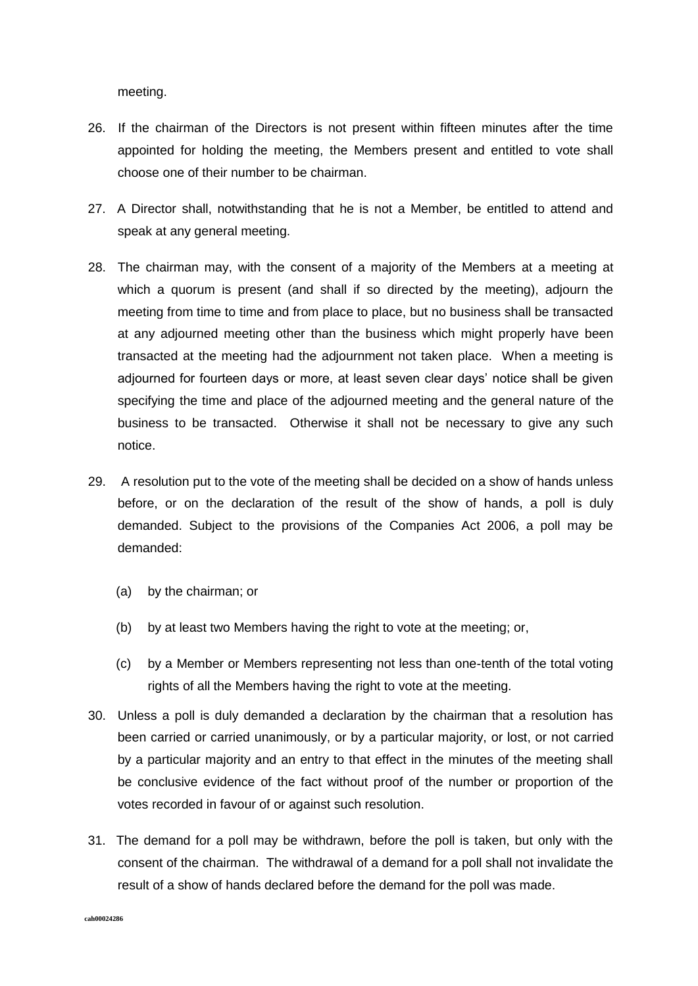meeting.

- 26. If the chairman of the Directors is not present within fifteen minutes after the time appointed for holding the meeting, the Members present and entitled to vote shall choose one of their number to be chairman.
- 27. A Director shall, notwithstanding that he is not a Member, be entitled to attend and speak at any general meeting.
- 28. The chairman may, with the consent of a majority of the Members at a meeting at which a quorum is present (and shall if so directed by the meeting), adjourn the meeting from time to time and from place to place, but no business shall be transacted at any adjourned meeting other than the business which might properly have been transacted at the meeting had the adjournment not taken place. When a meeting is adjourned for fourteen days or more, at least seven clear days' notice shall be given specifying the time and place of the adjourned meeting and the general nature of the business to be transacted. Otherwise it shall not be necessary to give any such notice.
- 29. A resolution put to the vote of the meeting shall be decided on a show of hands unless before, or on the declaration of the result of the show of hands, a poll is duly demanded. Subject to the provisions of the Companies Act 2006, a poll may be demanded:
	- (a) by the chairman; or
	- (b) by at least two Members having the right to vote at the meeting; or,
	- (c) by a Member or Members representing not less than one-tenth of the total voting rights of all the Members having the right to vote at the meeting.
- 30. Unless a poll is duly demanded a declaration by the chairman that a resolution has been carried or carried unanimously, or by a particular majority, or lost, or not carried by a particular majority and an entry to that effect in the minutes of the meeting shall be conclusive evidence of the fact without proof of the number or proportion of the votes recorded in favour of or against such resolution.
- 31. The demand for a poll may be withdrawn, before the poll is taken, but only with the consent of the chairman. The withdrawal of a demand for a poll shall not invalidate the result of a show of hands declared before the demand for the poll was made.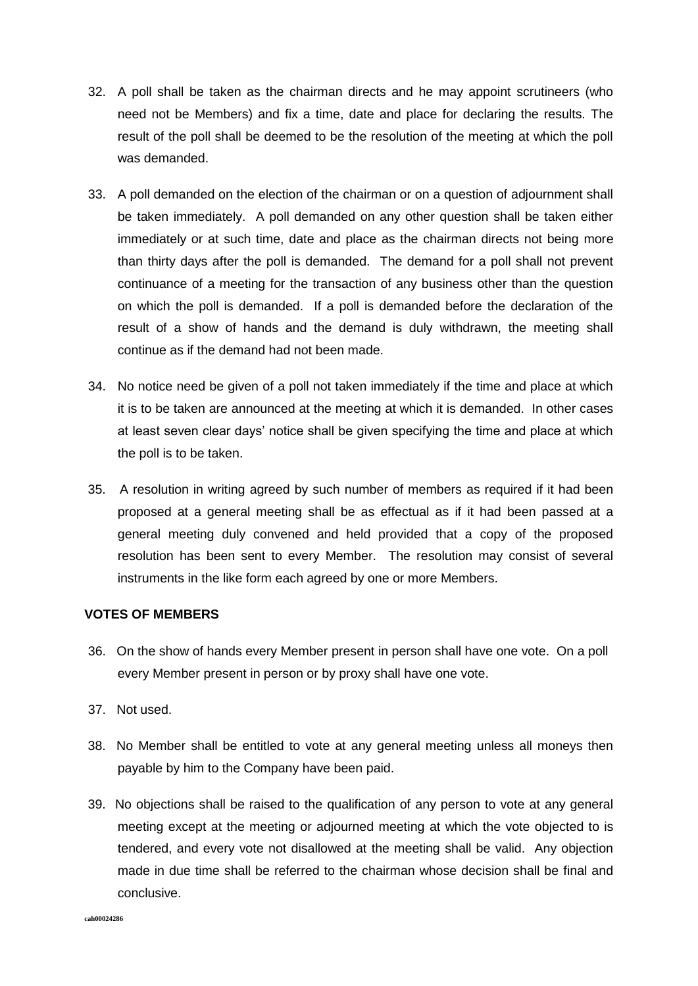- 32. A poll shall be taken as the chairman directs and he may appoint scrutineers (who need not be Members) and fix a time, date and place for declaring the results. The result of the poll shall be deemed to be the resolution of the meeting at which the poll was demanded.
- 33. A poll demanded on the election of the chairman or on a question of adjournment shall be taken immediately. A poll demanded on any other question shall be taken either immediately or at such time, date and place as the chairman directs not being more than thirty days after the poll is demanded. The demand for a poll shall not prevent continuance of a meeting for the transaction of any business other than the question on which the poll is demanded. If a poll is demanded before the declaration of the result of a show of hands and the demand is duly withdrawn, the meeting shall continue as if the demand had not been made.
- 34. No notice need be given of a poll not taken immediately if the time and place at which it is to be taken are announced at the meeting at which it is demanded. In other cases at least seven clear days' notice shall be given specifying the time and place at which the poll is to be taken.
- 35. A resolution in writing agreed by such number of members as required if it had been proposed at a general meeting shall be as effectual as if it had been passed at a general meeting duly convened and held provided that a copy of the proposed resolution has been sent to every Member. The resolution may consist of several instruments in the like form each agreed by one or more Members.

## **VOTES OF MEMBERS**

- 36. On the show of hands every Member present in person shall have one vote. On a poll every Member present in person or by proxy shall have one vote.
- 37. Not used.
- 38. No Member shall be entitled to vote at any general meeting unless all moneys then payable by him to the Company have been paid.
- 39. No objections shall be raised to the qualification of any person to vote at any general meeting except at the meeting or adjourned meeting at which the vote objected to is tendered, and every vote not disallowed at the meeting shall be valid. Any objection made in due time shall be referred to the chairman whose decision shall be final and conclusive.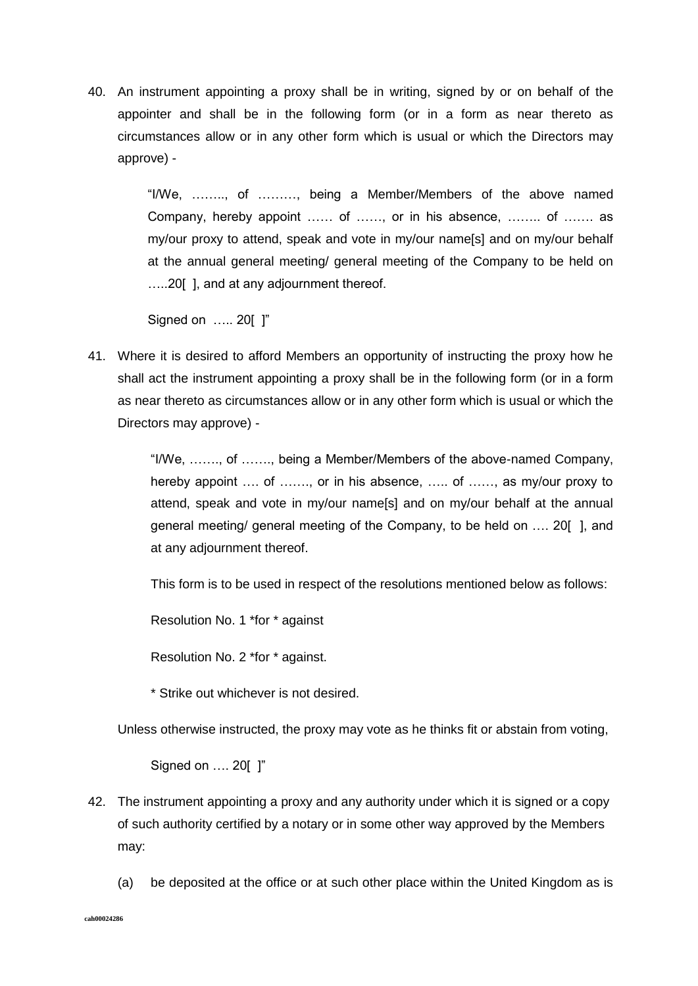40. An instrument appointing a proxy shall be in writing, signed by or on behalf of the appointer and shall be in the following form (or in a form as near thereto as circumstances allow or in any other form which is usual or which the Directors may approve) -

> "I/We, …….., of ………, being a Member/Members of the above named Company, hereby appoint …… of ……, or in his absence, …….. of ……. as my/our proxy to attend, speak and vote in my/our name[s] and on my/our behalf at the annual general meeting/ general meeting of the Company to be held on …..20[ ], and at any adjournment thereof.

Signed on ..... 20[ 1]

41. Where it is desired to afford Members an opportunity of instructing the proxy how he shall act the instrument appointing a proxy shall be in the following form (or in a form as near thereto as circumstances allow or in any other form which is usual or which the Directors may approve) -

> "I/We, ……., of ……., being a Member/Members of the above-named Company, hereby appoint .... of ......., or in his absence, ..... of ......, as my/our proxy to attend, speak and vote in my/our name[s] and on my/our behalf at the annual general meeting/ general meeting of the Company, to be held on …. 20[ ], and at any adjournment thereof.

This form is to be used in respect of the resolutions mentioned below as follows:

Resolution No. 1 \*for \* against

Resolution No. 2 \*for \* against.

\* Strike out whichever is not desired.

Unless otherwise instructed, the proxy may vote as he thinks fit or abstain from voting,

Signed on …. 20[ ]"

- 42. The instrument appointing a proxy and any authority under which it is signed or a copy of such authority certified by a notary or in some other way approved by the Members may:
	- (a) be deposited at the office or at such other place within the United Kingdom as is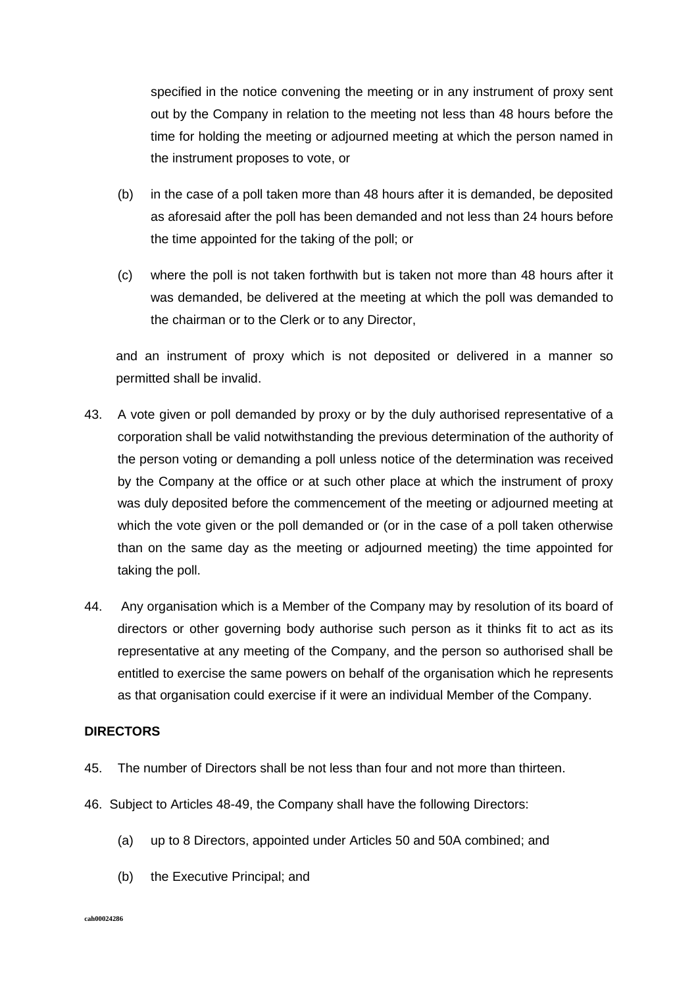specified in the notice convening the meeting or in any instrument of proxy sent out by the Company in relation to the meeting not less than 48 hours before the time for holding the meeting or adjourned meeting at which the person named in the instrument proposes to vote, or

- (b) in the case of a poll taken more than 48 hours after it is demanded, be deposited as aforesaid after the poll has been demanded and not less than 24 hours before the time appointed for the taking of the poll; or
- (c) where the poll is not taken forthwith but is taken not more than 48 hours after it was demanded, be delivered at the meeting at which the poll was demanded to the chairman or to the Clerk or to any Director,

and an instrument of proxy which is not deposited or delivered in a manner so permitted shall be invalid.

- 43. A vote given or poll demanded by proxy or by the duly authorised representative of a corporation shall be valid notwithstanding the previous determination of the authority of the person voting or demanding a poll unless notice of the determination was received by the Company at the office or at such other place at which the instrument of proxy was duly deposited before the commencement of the meeting or adjourned meeting at which the vote given or the poll demanded or (or in the case of a poll taken otherwise than on the same day as the meeting or adjourned meeting) the time appointed for taking the poll.
- 44. Any organisation which is a Member of the Company may by resolution of its board of directors or other governing body authorise such person as it thinks fit to act as its representative at any meeting of the Company, and the person so authorised shall be entitled to exercise the same powers on behalf of the organisation which he represents as that organisation could exercise if it were an individual Member of the Company.

#### **DIRECTORS**

- 45. The number of Directors shall be not less than four and not more than thirteen.
- 46. Subject to Articles 48-49, the Company shall have the following Directors:
	- (a) up to 8 Directors, appointed under Articles 50 and 50A combined; and
	- (b) the Executive Principal; and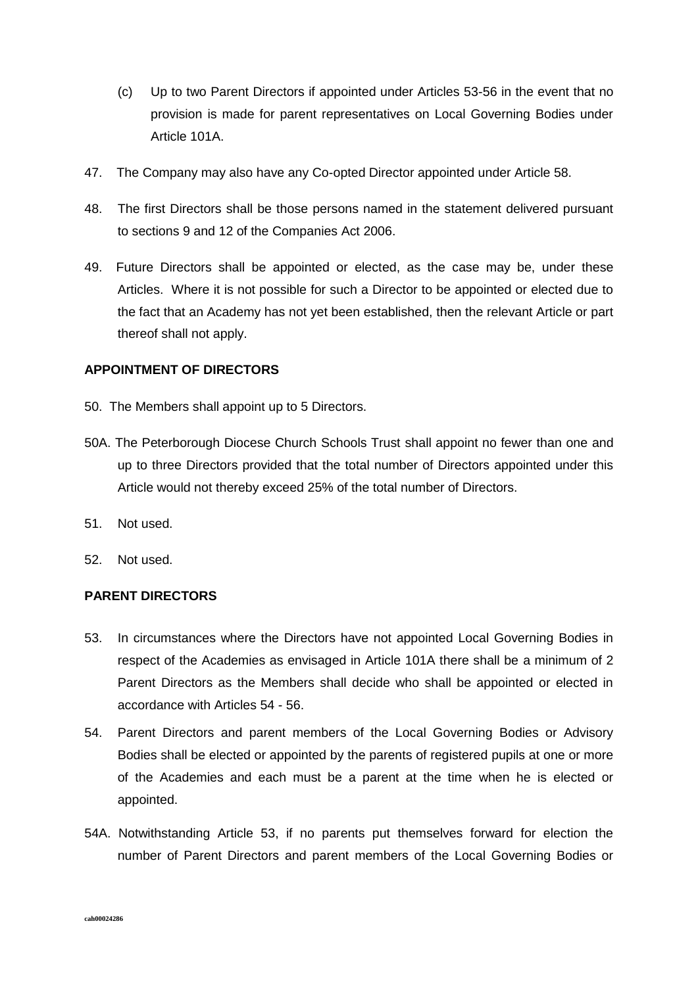- (c) Up to two Parent Directors if appointed under Articles 53-56 in the event that no provision is made for parent representatives on Local Governing Bodies under Article 101A.
- 47. The Company may also have any Co-opted Director appointed under Article 58.
- 48. The first Directors shall be those persons named in the statement delivered pursuant to sections 9 and 12 of the Companies Act 2006.
- 49. Future Directors shall be appointed or elected, as the case may be, under these Articles. Where it is not possible for such a Director to be appointed or elected due to the fact that an Academy has not yet been established, then the relevant Article or part thereof shall not apply.

## **APPOINTMENT OF DIRECTORS**

- 50. The Members shall appoint up to 5 Directors.
- 50A. The Peterborough Diocese Church Schools Trust shall appoint no fewer than one and up to three Directors provided that the total number of Directors appointed under this Article would not thereby exceed 25% of the total number of Directors.
- 51. Not used.
- 52. Not used.

## **PARENT DIRECTORS**

- 53. In circumstances where the Directors have not appointed Local Governing Bodies in respect of the Academies as envisaged in Article 101A there shall be a minimum of 2 Parent Directors as the Members shall decide who shall be appointed or elected in accordance with Articles 54 - 56.
- 54. Parent Directors and parent members of the Local Governing Bodies or Advisory Bodies shall be elected or appointed by the parents of registered pupils at one or more of the Academies and each must be a parent at the time when he is elected or appointed.
- 54A. Notwithstanding Article 53, if no parents put themselves forward for election the number of Parent Directors and parent members of the Local Governing Bodies or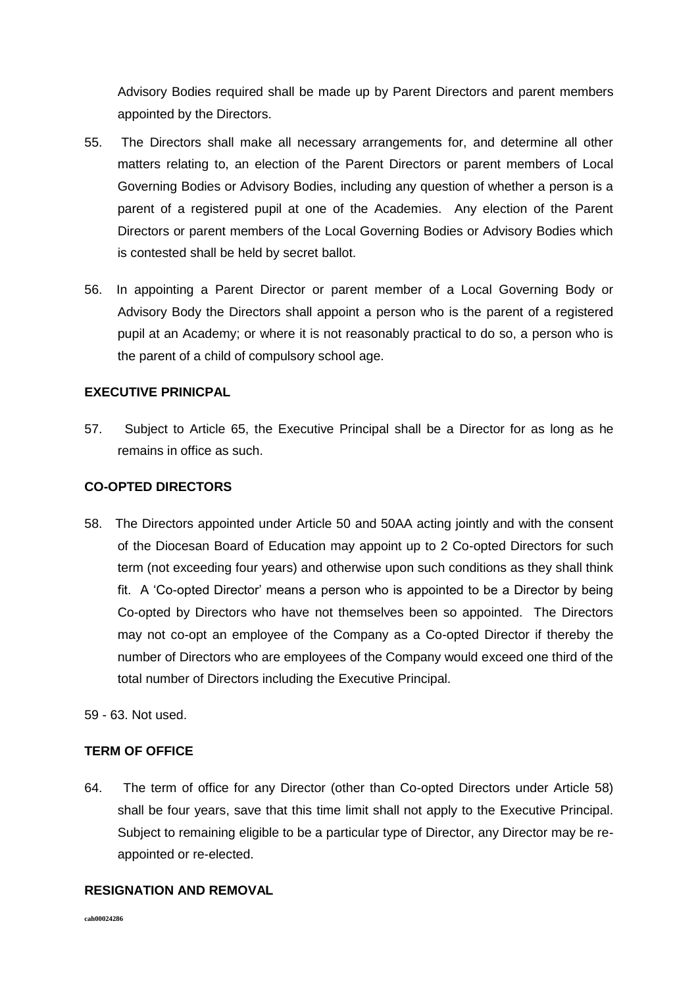Advisory Bodies required shall be made up by Parent Directors and parent members appointed by the Directors.

- 55. The Directors shall make all necessary arrangements for, and determine all other matters relating to, an election of the Parent Directors or parent members of Local Governing Bodies or Advisory Bodies, including any question of whether a person is a parent of a registered pupil at one of the Academies. Any election of the Parent Directors or parent members of the Local Governing Bodies or Advisory Bodies which is contested shall be held by secret ballot.
- 56. In appointing a Parent Director or parent member of a Local Governing Body or Advisory Body the Directors shall appoint a person who is the parent of a registered pupil at an Academy; or where it is not reasonably practical to do so, a person who is the parent of a child of compulsory school age.

#### **EXECUTIVE PRINICPAL**

57. Subject to Article 65, the Executive Principal shall be a Director for as long as he remains in office as such.

## **CO-OPTED DIRECTORS**

- 58. The Directors appointed under Article 50 and 50AA acting jointly and with the consent of the Diocesan Board of Education may appoint up to 2 Co-opted Directors for such term (not exceeding four years) and otherwise upon such conditions as they shall think fit. A 'Co-opted Director' means a person who is appointed to be a Director by being Co-opted by Directors who have not themselves been so appointed. The Directors may not co-opt an employee of the Company as a Co-opted Director if thereby the number of Directors who are employees of the Company would exceed one third of the total number of Directors including the Executive Principal.
- 59 63. Not used.

## **TERM OF OFFICE**

64. The term of office for any Director (other than Co-opted Directors under Article 58) shall be four years, save that this time limit shall not apply to the Executive Principal. Subject to remaining eligible to be a particular type of Director, any Director may be reappointed or re-elected.

#### **RESIGNATION AND REMOVAL**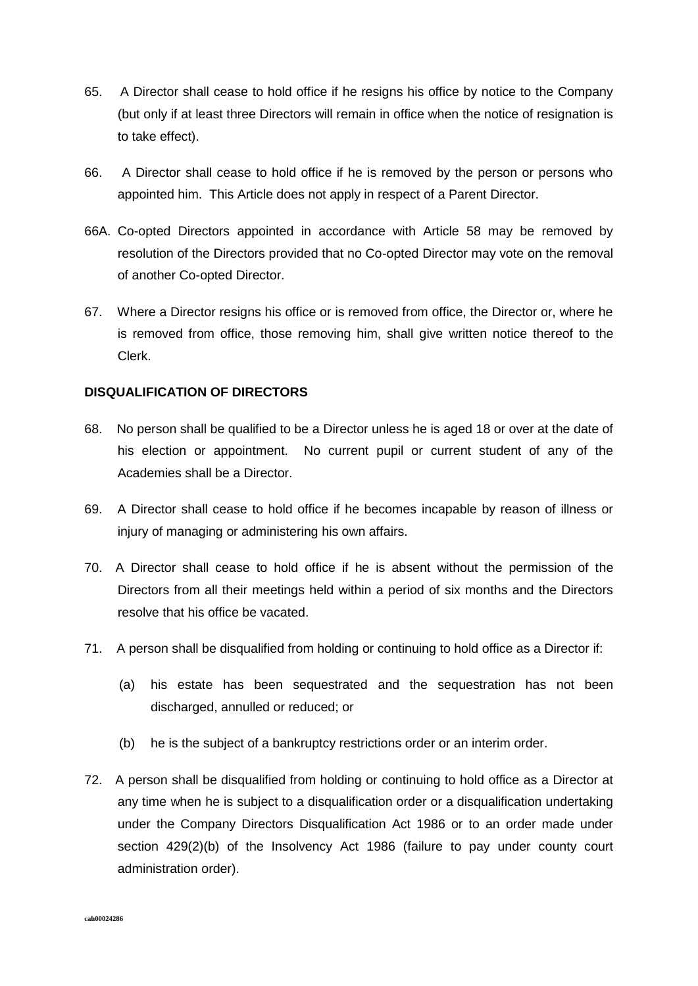- 65. A Director shall cease to hold office if he resigns his office by notice to the Company (but only if at least three Directors will remain in office when the notice of resignation is to take effect).
- 66. A Director shall cease to hold office if he is removed by the person or persons who appointed him. This Article does not apply in respect of a Parent Director.
- 66A. Co-opted Directors appointed in accordance with Article 58 may be removed by resolution of the Directors provided that no Co-opted Director may vote on the removal of another Co-opted Director.
- 67. Where a Director resigns his office or is removed from office, the Director or, where he is removed from office, those removing him, shall give written notice thereof to the Clerk.

## **DISQUALIFICATION OF DIRECTORS**

- 68. No person shall be qualified to be a Director unless he is aged 18 or over at the date of his election or appointment. No current pupil or current student of any of the Academies shall be a Director.
- 69. A Director shall cease to hold office if he becomes incapable by reason of illness or injury of managing or administering his own affairs.
- 70. A Director shall cease to hold office if he is absent without the permission of the Directors from all their meetings held within a period of six months and the Directors resolve that his office be vacated.
- 71. A person shall be disqualified from holding or continuing to hold office as a Director if:
	- (a) his estate has been sequestrated and the sequestration has not been discharged, annulled or reduced; or
	- (b) he is the subject of a bankruptcy restrictions order or an interim order.
- 72. A person shall be disqualified from holding or continuing to hold office as a Director at any time when he is subject to a disqualification order or a disqualification undertaking under the Company Directors Disqualification Act 1986 or to an order made under section 429(2)(b) of the Insolvency Act 1986 (failure to pay under county court administration order).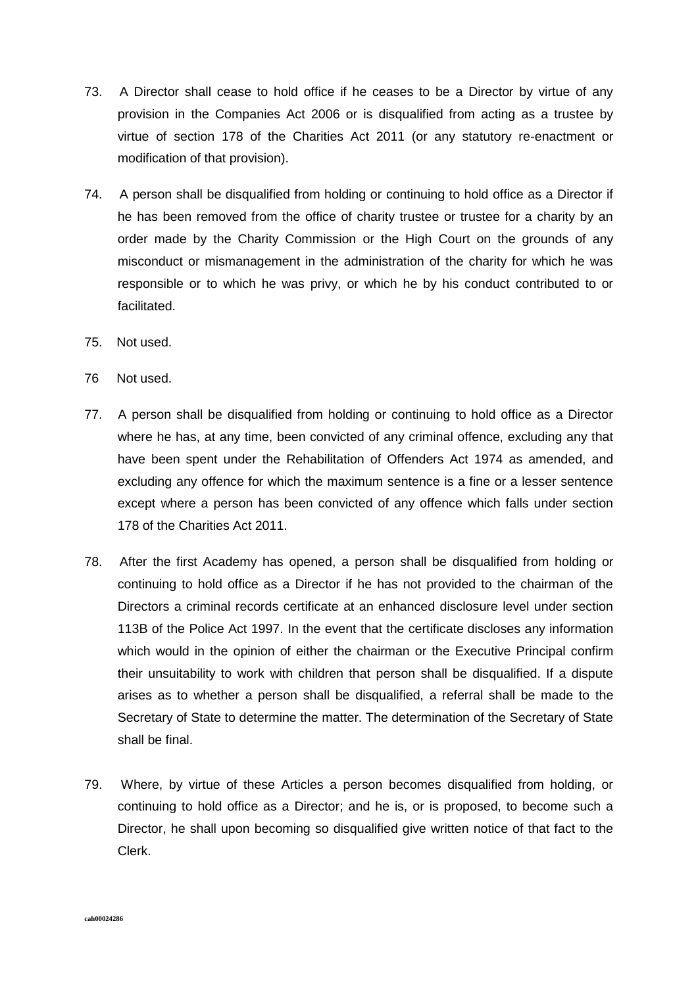- 73. A Director shall cease to hold office if he ceases to be a Director by virtue of any provision in the Companies Act 2006 or is disqualified from acting as a trustee by virtue of section 178 of the Charities Act 2011 (or any statutory re-enactment or modification of that provision).
- 74. A person shall be disqualified from holding or continuing to hold office as a Director if he has been removed from the office of charity trustee or trustee for a charity by an order made by the Charity Commission or the High Court on the grounds of any misconduct or mismanagement in the administration of the charity for which he was responsible or to which he was privy, or which he by his conduct contributed to or facilitated.
- 75. Not used.
- 76 Not used.
- 77. A person shall be disqualified from holding or continuing to hold office as a Director where he has, at any time, been convicted of any criminal offence, excluding any that have been spent under the Rehabilitation of Offenders Act 1974 as amended, and excluding any offence for which the maximum sentence is a fine or a lesser sentence except where a person has been convicted of any offence which falls under section 178 of the Charities Act 2011.
- 78. After the first Academy has opened, a person shall be disqualified from holding or continuing to hold office as a Director if he has not provided to the chairman of the Directors a criminal records certificate at an enhanced disclosure level under section 113B of the Police Act 1997. In the event that the certificate discloses any information which would in the opinion of either the chairman or the Executive Principal confirm their unsuitability to work with children that person shall be disqualified. If a dispute arises as to whether a person shall be disqualified, a referral shall be made to the Secretary of State to determine the matter. The determination of the Secretary of State shall be final.
- 79. Where, by virtue of these Articles a person becomes disqualified from holding, or continuing to hold office as a Director; and he is, or is proposed, to become such a Director, he shall upon becoming so disqualified give written notice of that fact to the Clerk.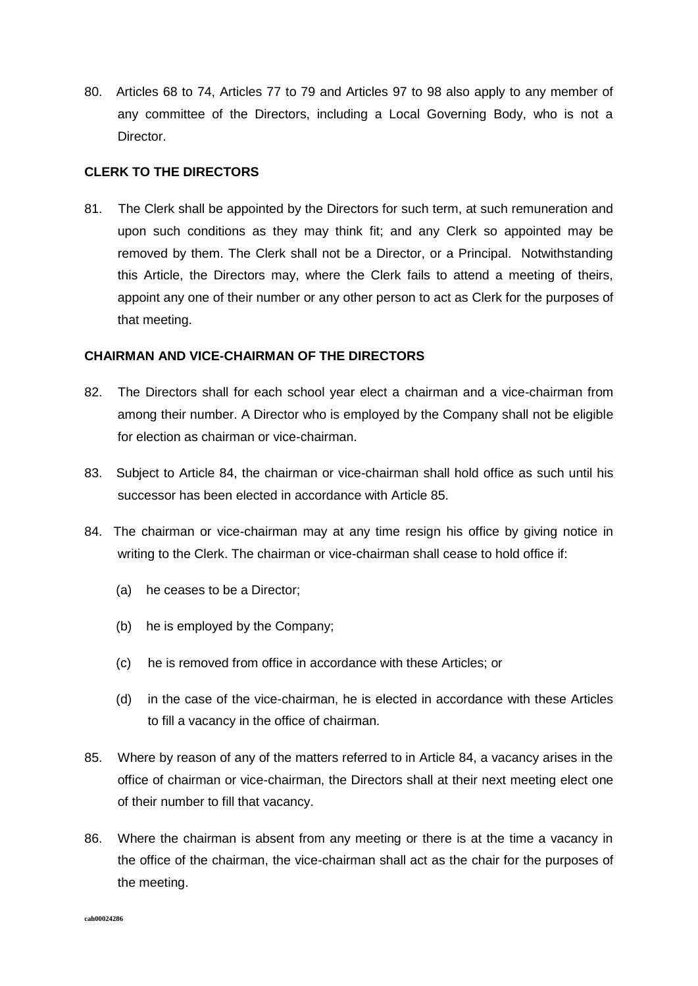80. Articles 68 to 74, Articles 77 to 79 and Articles 97 to 98 also apply to any member of any committee of the Directors, including a Local Governing Body, who is not a Director.

## **CLERK TO THE DIRECTORS**

81. The Clerk shall be appointed by the Directors for such term, at such remuneration and upon such conditions as they may think fit; and any Clerk so appointed may be removed by them. The Clerk shall not be a Director, or a Principal. Notwithstanding this Article, the Directors may, where the Clerk fails to attend a meeting of theirs, appoint any one of their number or any other person to act as Clerk for the purposes of that meeting.

## **CHAIRMAN AND VICE-CHAIRMAN OF THE DIRECTORS**

- 82. The Directors shall for each school year elect a chairman and a vice-chairman from among their number. A Director who is employed by the Company shall not be eligible for election as chairman or vice-chairman.
- 83. Subject to Article 84, the chairman or vice-chairman shall hold office as such until his successor has been elected in accordance with Article 85.
- 84. The chairman or vice-chairman may at any time resign his office by giving notice in writing to the Clerk. The chairman or vice-chairman shall cease to hold office if:
	- (a) he ceases to be a Director;
	- (b) he is employed by the Company;
	- (c) he is removed from office in accordance with these Articles; or
	- (d) in the case of the vice-chairman, he is elected in accordance with these Articles to fill a vacancy in the office of chairman.
- 85. Where by reason of any of the matters referred to in Article 84, a vacancy arises in the office of chairman or vice-chairman, the Directors shall at their next meeting elect one of their number to fill that vacancy.
- 86. Where the chairman is absent from any meeting or there is at the time a vacancy in the office of the chairman, the vice-chairman shall act as the chair for the purposes of the meeting.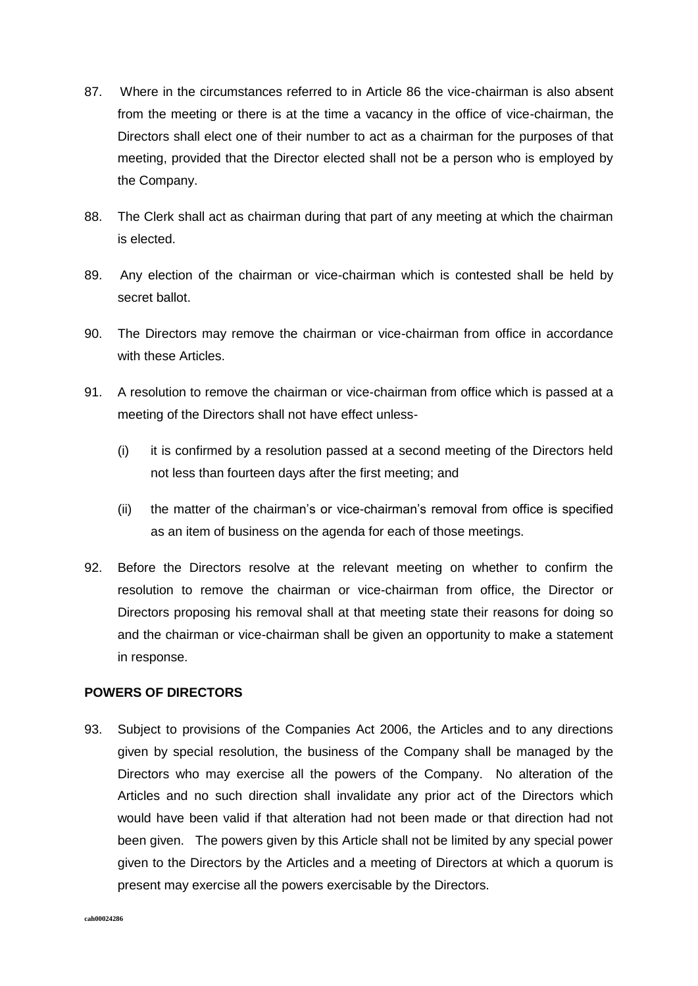- 87. Where in the circumstances referred to in Article 86 the vice-chairman is also absent from the meeting or there is at the time a vacancy in the office of vice-chairman, the Directors shall elect one of their number to act as a chairman for the purposes of that meeting, provided that the Director elected shall not be a person who is employed by the Company.
- 88. The Clerk shall act as chairman during that part of any meeting at which the chairman is elected.
- 89. Any election of the chairman or vice-chairman which is contested shall be held by secret ballot.
- 90. The Directors may remove the chairman or vice-chairman from office in accordance with these Articles.
- 91. A resolution to remove the chairman or vice-chairman from office which is passed at a meeting of the Directors shall not have effect unless-
	- (i) it is confirmed by a resolution passed at a second meeting of the Directors held not less than fourteen days after the first meeting; and
	- (ii) the matter of the chairman's or vice-chairman's removal from office is specified as an item of business on the agenda for each of those meetings.
- 92. Before the Directors resolve at the relevant meeting on whether to confirm the resolution to remove the chairman or vice-chairman from office, the Director or Directors proposing his removal shall at that meeting state their reasons for doing so and the chairman or vice-chairman shall be given an opportunity to make a statement in response.

# **POWERS OF DIRECTORS**

93. Subject to provisions of the Companies Act 2006, the Articles and to any directions given by special resolution, the business of the Company shall be managed by the Directors who may exercise all the powers of the Company. No alteration of the Articles and no such direction shall invalidate any prior act of the Directors which would have been valid if that alteration had not been made or that direction had not been given. The powers given by this Article shall not be limited by any special power given to the Directors by the Articles and a meeting of Directors at which a quorum is present may exercise all the powers exercisable by the Directors.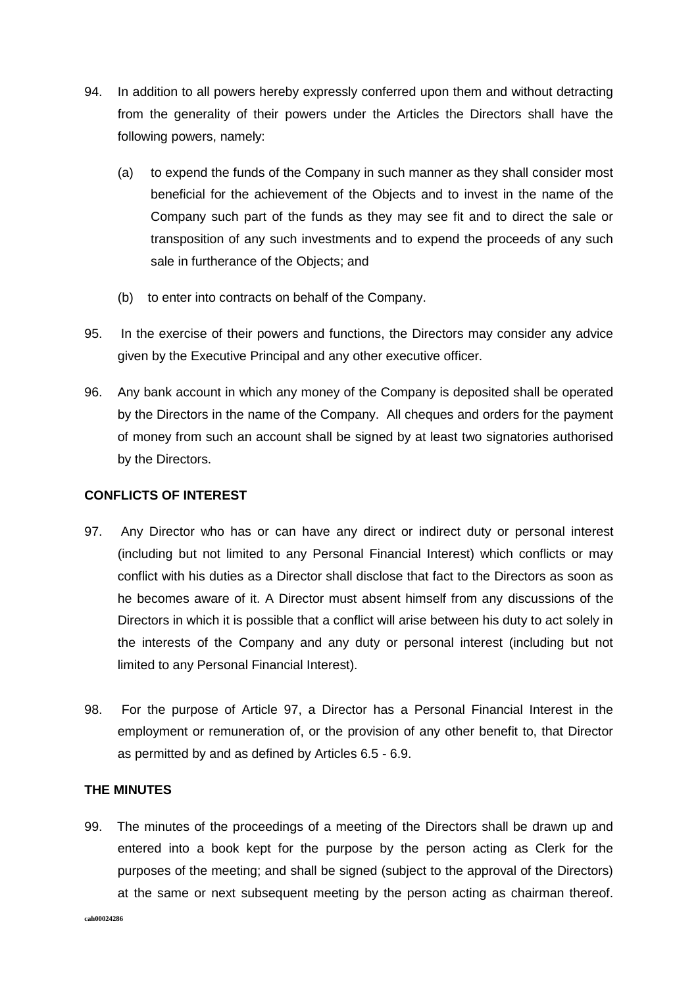- 94. In addition to all powers hereby expressly conferred upon them and without detracting from the generality of their powers under the Articles the Directors shall have the following powers, namely:
	- (a) to expend the funds of the Company in such manner as they shall consider most beneficial for the achievement of the Objects and to invest in the name of the Company such part of the funds as they may see fit and to direct the sale or transposition of any such investments and to expend the proceeds of any such sale in furtherance of the Objects; and
	- (b) to enter into contracts on behalf of the Company.
- 95. In the exercise of their powers and functions, the Directors may consider any advice given by the Executive Principal and any other executive officer.
- 96. Any bank account in which any money of the Company is deposited shall be operated by the Directors in the name of the Company. All cheques and orders for the payment of money from such an account shall be signed by at least two signatories authorised by the Directors.

#### **CONFLICTS OF INTEREST**

- 97. Any Director who has or can have any direct or indirect duty or personal interest (including but not limited to any Personal Financial Interest) which conflicts or may conflict with his duties as a Director shall disclose that fact to the Directors as soon as he becomes aware of it. A Director must absent himself from any discussions of the Directors in which it is possible that a conflict will arise between his duty to act solely in the interests of the Company and any duty or personal interest (including but not limited to any Personal Financial Interest).
- 98. For the purpose of Article 97, a Director has a Personal Financial Interest in the employment or remuneration of, or the provision of any other benefit to, that Director as permitted by and as defined by Articles 6.5 - 6.9.

# **THE MINUTES**

99. The minutes of the proceedings of a meeting of the Directors shall be drawn up and entered into a book kept for the purpose by the person acting as Clerk for the purposes of the meeting; and shall be signed (subject to the approval of the Directors) at the same or next subsequent meeting by the person acting as chairman thereof.

**cah00024286**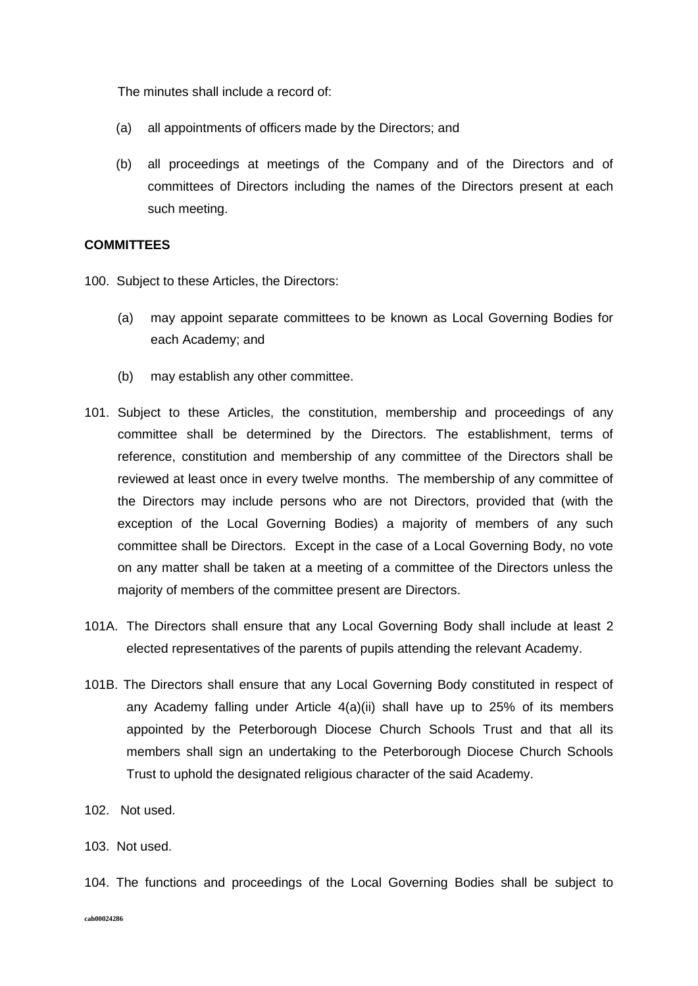The minutes shall include a record of:

- (a) all appointments of officers made by the Directors; and
- (b) all proceedings at meetings of the Company and of the Directors and of committees of Directors including the names of the Directors present at each such meeting.

#### **COMMITTEES**

100. Subject to these Articles, the Directors:

- (a) may appoint separate committees to be known as Local Governing Bodies for each Academy; and
- (b) may establish any other committee.
- 101. Subject to these Articles, the constitution, membership and proceedings of any committee shall be determined by the Directors. The establishment, terms of reference, constitution and membership of any committee of the Directors shall be reviewed at least once in every twelve months. The membership of any committee of the Directors may include persons who are not Directors, provided that (with the exception of the Local Governing Bodies) a majority of members of any such committee shall be Directors. Except in the case of a Local Governing Body, no vote on any matter shall be taken at a meeting of a committee of the Directors unless the majority of members of the committee present are Directors.
- 101A. The Directors shall ensure that any Local Governing Body shall include at least 2 elected representatives of the parents of pupils attending the relevant Academy.
- 101B. The Directors shall ensure that any Local Governing Body constituted in respect of any Academy falling under Article  $4(a)(ii)$  shall have up to 25% of its members appointed by the Peterborough Diocese Church Schools Trust and that all its members shall sign an undertaking to the Peterborough Diocese Church Schools Trust to uphold the designated religious character of the said Academy.
- 102. Not used.
- 103. Not used.
- 104. The functions and proceedings of the Local Governing Bodies shall be subject to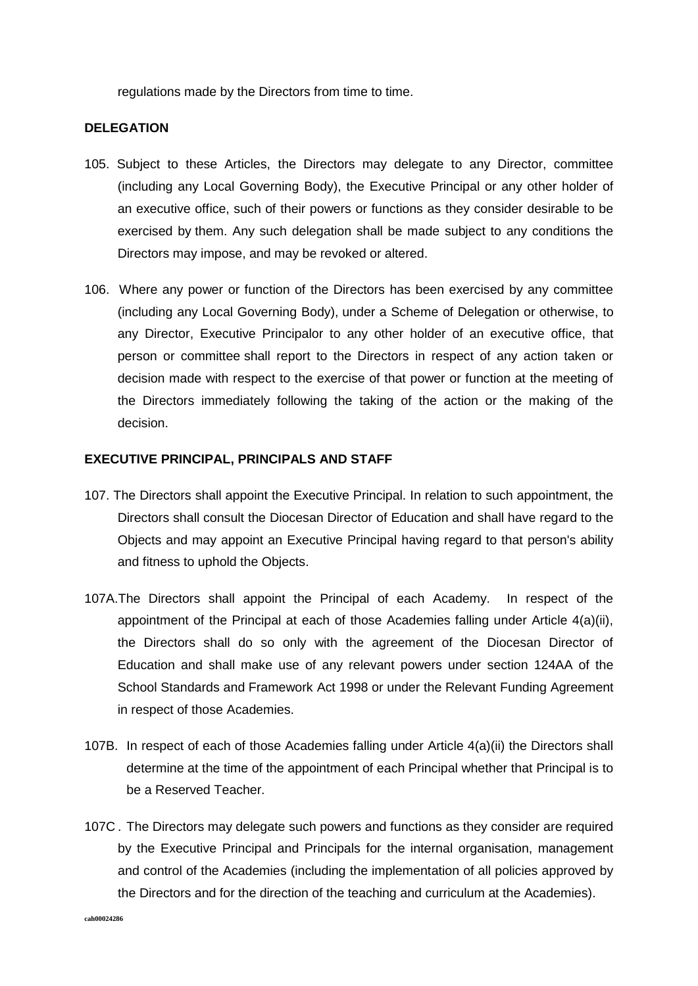regulations made by the Directors from time to time.

#### **DELEGATION**

- 105. Subject to these Articles, the Directors may delegate to any Director, committee (including any Local Governing Body), the Executive Principal or any other holder of an executive office, such of their powers or functions as they consider desirable to be exercised by them. Any such delegation shall be made subject to any conditions the Directors may impose, and may be revoked or altered.
- 106. Where any power or function of the Directors has been exercised by any committee (including any Local Governing Body), under a Scheme of Delegation or otherwise, to any Director, Executive Principalor to any other holder of an executive office, that person or committee shall report to the Directors in respect of any action taken or decision made with respect to the exercise of that power or function at the meeting of the Directors immediately following the taking of the action or the making of the decision.

#### **EXECUTIVE PRINCIPAL, PRINCIPALS AND STAFF**

- 107. The Directors shall appoint the Executive Principal. In relation to such appointment, the Directors shall consult the Diocesan Director of Education and shall have regard to the Objects and may appoint an Executive Principal having regard to that person's ability and fitness to uphold the Objects.
- 107A.The Directors shall appoint the Principal of each Academy. In respect of the appointment of the Principal at each of those Academies falling under Article 4(a)(ii), the Directors shall do so only with the agreement of the Diocesan Director of Education and shall make use of any relevant powers under section 124AA of the School Standards and Framework Act 1998 or under the Relevant Funding Agreement in respect of those Academies.
- 107B. In respect of each of those Academies falling under Article 4(a)(ii) the Directors shall determine at the time of the appointment of each Principal whether that Principal is to be a Reserved Teacher.
- 107C . The Directors may delegate such powers and functions as they consider are required by the Executive Principal and Principals for the internal organisation, management and control of the Academies (including the implementation of all policies approved by the Directors and for the direction of the teaching and curriculum at the Academies).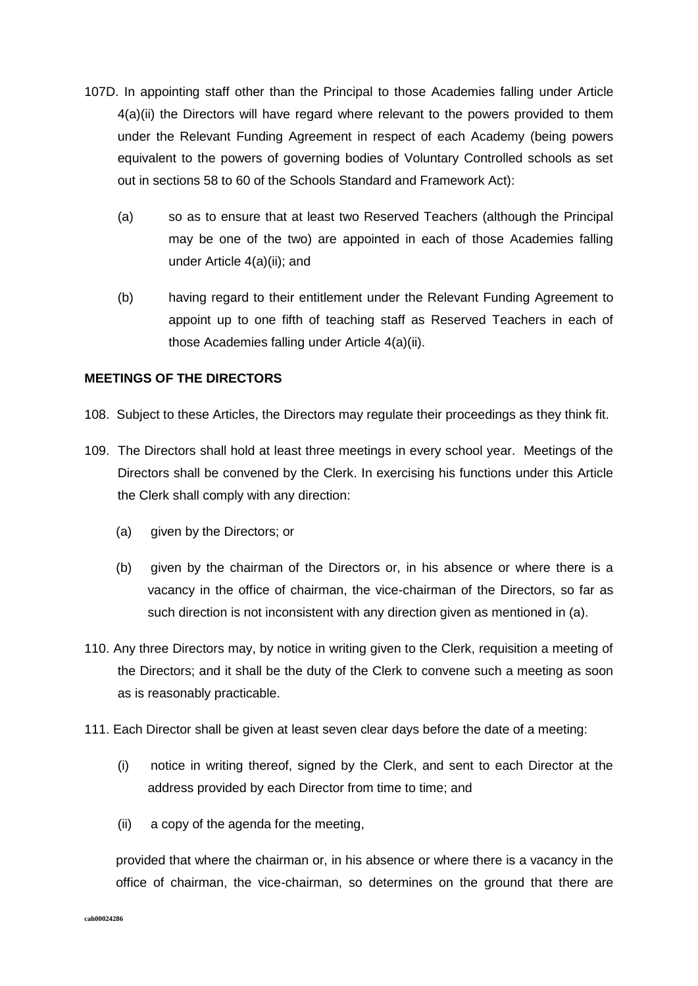- 107D. In appointing staff other than the Principal to those Academies falling under Article 4(a)(ii) the Directors will have regard where relevant to the powers provided to them under the Relevant Funding Agreement in respect of each Academy (being powers equivalent to the powers of governing bodies of Voluntary Controlled schools as set out in sections 58 to 60 of the Schools Standard and Framework Act):
	- (a) so as to ensure that at least two Reserved Teachers (although the Principal may be one of the two) are appointed in each of those Academies falling under Article 4(a)(ii); and
	- (b) having regard to their entitlement under the Relevant Funding Agreement to appoint up to one fifth of teaching staff as Reserved Teachers in each of those Academies falling under Article 4(a)(ii).

## **MEETINGS OF THE DIRECTORS**

- 108. Subject to these Articles, the Directors may regulate their proceedings as they think fit.
- 109. The Directors shall hold at least three meetings in every school year. Meetings of the Directors shall be convened by the Clerk. In exercising his functions under this Article the Clerk shall comply with any direction:
	- (a) given by the Directors; or
	- (b) given by the chairman of the Directors or, in his absence or where there is a vacancy in the office of chairman, the vice-chairman of the Directors, so far as such direction is not inconsistent with any direction given as mentioned in (a).
- 110. Any three Directors may, by notice in writing given to the Clerk, requisition a meeting of the Directors; and it shall be the duty of the Clerk to convene such a meeting as soon as is reasonably practicable.
- 111. Each Director shall be given at least seven clear days before the date of a meeting:
	- (i) notice in writing thereof, signed by the Clerk, and sent to each Director at the address provided by each Director from time to time; and
	- (ii) a copy of the agenda for the meeting,

provided that where the chairman or, in his absence or where there is a vacancy in the office of chairman, the vice-chairman, so determines on the ground that there are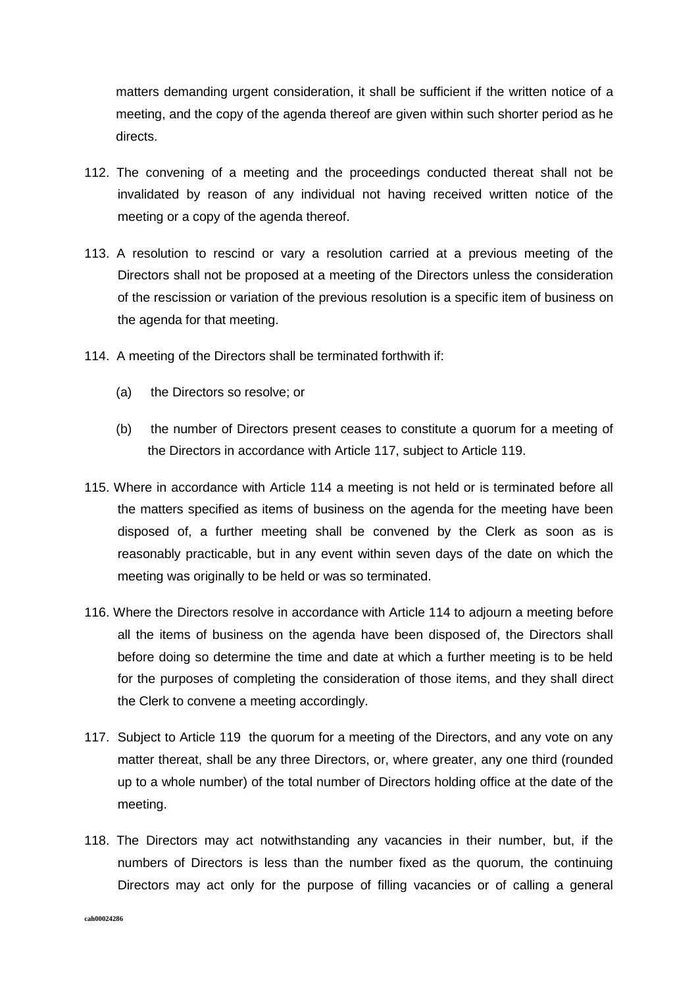matters demanding urgent consideration, it shall be sufficient if the written notice of a meeting, and the copy of the agenda thereof are given within such shorter period as he directs.

- 112. The convening of a meeting and the proceedings conducted thereat shall not be invalidated by reason of any individual not having received written notice of the meeting or a copy of the agenda thereof.
- 113. A resolution to rescind or vary a resolution carried at a previous meeting of the Directors shall not be proposed at a meeting of the Directors unless the consideration of the rescission or variation of the previous resolution is a specific item of business on the agenda for that meeting.
- 114. A meeting of the Directors shall be terminated forthwith if:
	- (a) the Directors so resolve; or
	- (b) the number of Directors present ceases to constitute a quorum for a meeting of the Directors in accordance with Article 117, subject to Article 119.
- 115. Where in accordance with Article 114 a meeting is not held or is terminated before all the matters specified as items of business on the agenda for the meeting have been disposed of, a further meeting shall be convened by the Clerk as soon as is reasonably practicable, but in any event within seven days of the date on which the meeting was originally to be held or was so terminated.
- 116. Where the Directors resolve in accordance with Article 114 to adjourn a meeting before all the items of business on the agenda have been disposed of, the Directors shall before doing so determine the time and date at which a further meeting is to be held for the purposes of completing the consideration of those items, and they shall direct the Clerk to convene a meeting accordingly.
- 117. Subject to Article 119 the quorum for a meeting of the Directors, and any vote on any matter thereat, shall be any three Directors, or, where greater, any one third (rounded up to a whole number) of the total number of Directors holding office at the date of the meeting.
- 118. The Directors may act notwithstanding any vacancies in their number, but, if the numbers of Directors is less than the number fixed as the quorum, the continuing Directors may act only for the purpose of filling vacancies or of calling a general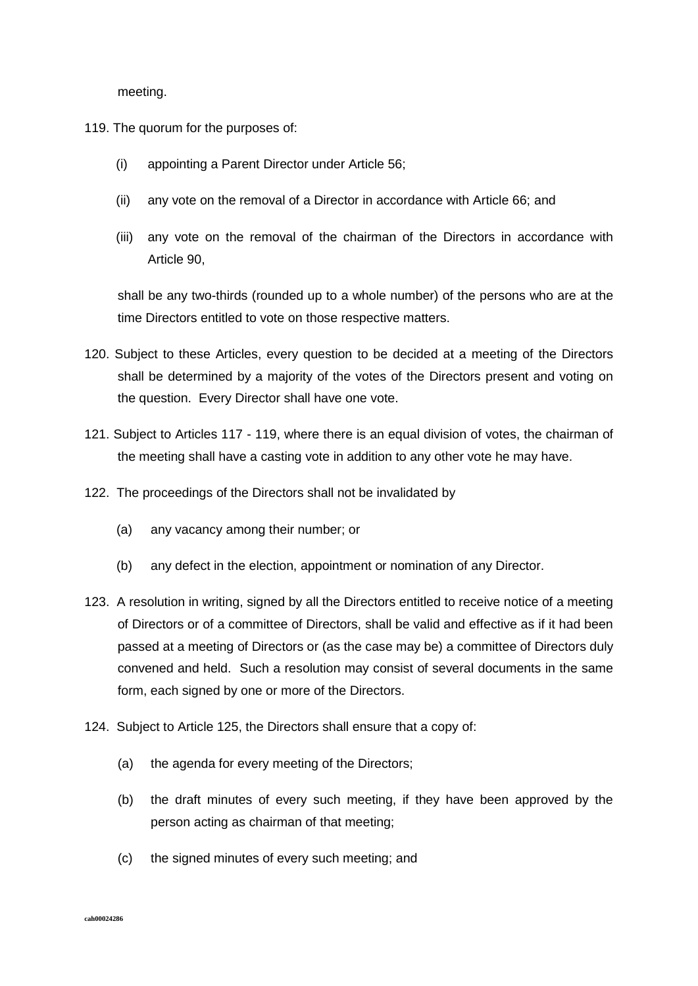meeting.

- 119. The quorum for the purposes of:
	- (i) appointing a Parent Director under Article 56;
	- (ii) any vote on the removal of a Director in accordance with Article 66; and
	- (iii) any vote on the removal of the chairman of the Directors in accordance with Article 90,

shall be any two-thirds (rounded up to a whole number) of the persons who are at the time Directors entitled to vote on those respective matters.

- 120. Subject to these Articles, every question to be decided at a meeting of the Directors shall be determined by a majority of the votes of the Directors present and voting on the question. Every Director shall have one vote.
- 121. Subject to Articles 117 119, where there is an equal division of votes, the chairman of the meeting shall have a casting vote in addition to any other vote he may have.
- 122. The proceedings of the Directors shall not be invalidated by
	- (a) any vacancy among their number; or
	- (b) any defect in the election, appointment or nomination of any Director.
- 123. A resolution in writing, signed by all the Directors entitled to receive notice of a meeting of Directors or of a committee of Directors, shall be valid and effective as if it had been passed at a meeting of Directors or (as the case may be) a committee of Directors duly convened and held. Such a resolution may consist of several documents in the same form, each signed by one or more of the Directors.
- 124. Subject to Article 125, the Directors shall ensure that a copy of:
	- (a) the agenda for every meeting of the Directors;
	- (b) the draft minutes of every such meeting, if they have been approved by the person acting as chairman of that meeting;
	- (c) the signed minutes of every such meeting; and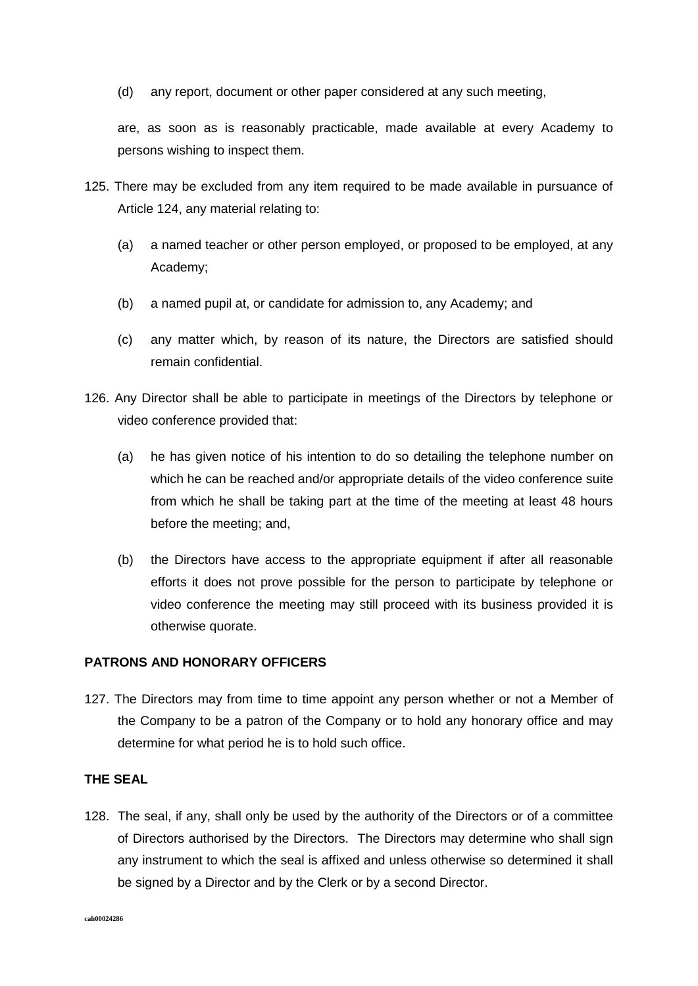(d) any report, document or other paper considered at any such meeting,

are, as soon as is reasonably practicable, made available at every Academy to persons wishing to inspect them.

- 125. There may be excluded from any item required to be made available in pursuance of Article 124, any material relating to:
	- (a) a named teacher or other person employed, or proposed to be employed, at any Academy;
	- (b) a named pupil at, or candidate for admission to, any Academy; and
	- (c) any matter which, by reason of its nature, the Directors are satisfied should remain confidential.
- 126. Any Director shall be able to participate in meetings of the Directors by telephone or video conference provided that:
	- (a) he has given notice of his intention to do so detailing the telephone number on which he can be reached and/or appropriate details of the video conference suite from which he shall be taking part at the time of the meeting at least 48 hours before the meeting; and,
	- (b) the Directors have access to the appropriate equipment if after all reasonable efforts it does not prove possible for the person to participate by telephone or video conference the meeting may still proceed with its business provided it is otherwise quorate.

## **PATRONS AND HONORARY OFFICERS**

127. The Directors may from time to time appoint any person whether or not a Member of the Company to be a patron of the Company or to hold any honorary office and may determine for what period he is to hold such office.

# **THE SEAL**

128. The seal, if any, shall only be used by the authority of the Directors or of a committee of Directors authorised by the Directors. The Directors may determine who shall sign any instrument to which the seal is affixed and unless otherwise so determined it shall be signed by a Director and by the Clerk or by a second Director.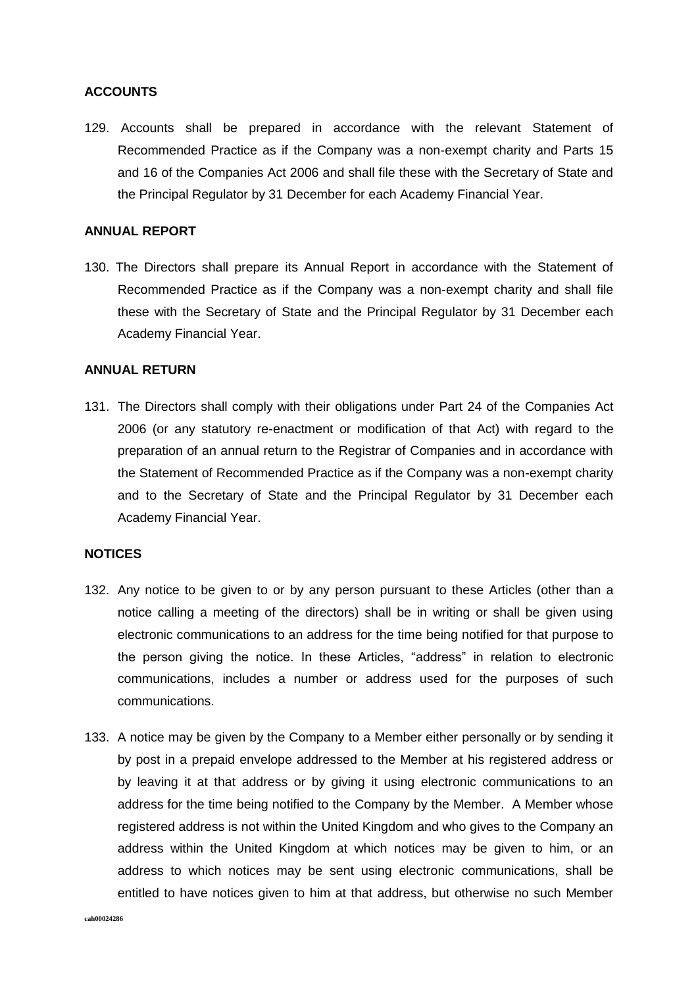#### **ACCOUNTS**

129. Accounts shall be prepared in accordance with the relevant Statement of Recommended Practice as if the Company was a non-exempt charity and Parts 15 and 16 of the Companies Act 2006 and shall file these with the Secretary of State and the Principal Regulator by 31 December for each Academy Financial Year.

#### **ANNUAL REPORT**

130. The Directors shall prepare its Annual Report in accordance with the Statement of Recommended Practice as if the Company was a non-exempt charity and shall file these with the Secretary of State and the Principal Regulator by 31 December each Academy Financial Year.

# **ANNUAL RETURN**

131. The Directors shall comply with their obligations under Part 24 of the Companies Act 2006 (or any statutory re-enactment or modification of that Act) with regard to the preparation of an annual return to the Registrar of Companies and in accordance with the Statement of Recommended Practice as if the Company was a non-exempt charity and to the Secretary of State and the Principal Regulator by 31 December each Academy Financial Year.

# **NOTICES**

- 132. Any notice to be given to or by any person pursuant to these Articles (other than a notice calling a meeting of the directors) shall be in writing or shall be given using electronic communications to an address for the time being notified for that purpose to the person giving the notice. In these Articles, "address" in relation to electronic communications, includes a number or address used for the purposes of such communications.
- 133. A notice may be given by the Company to a Member either personally or by sending it by post in a prepaid envelope addressed to the Member at his registered address or by leaving it at that address or by giving it using electronic communications to an address for the time being notified to the Company by the Member. A Member whose registered address is not within the United Kingdom and who gives to the Company an address within the United Kingdom at which notices may be given to him, or an address to which notices may be sent using electronic communications, shall be entitled to have notices given to him at that address, but otherwise no such Member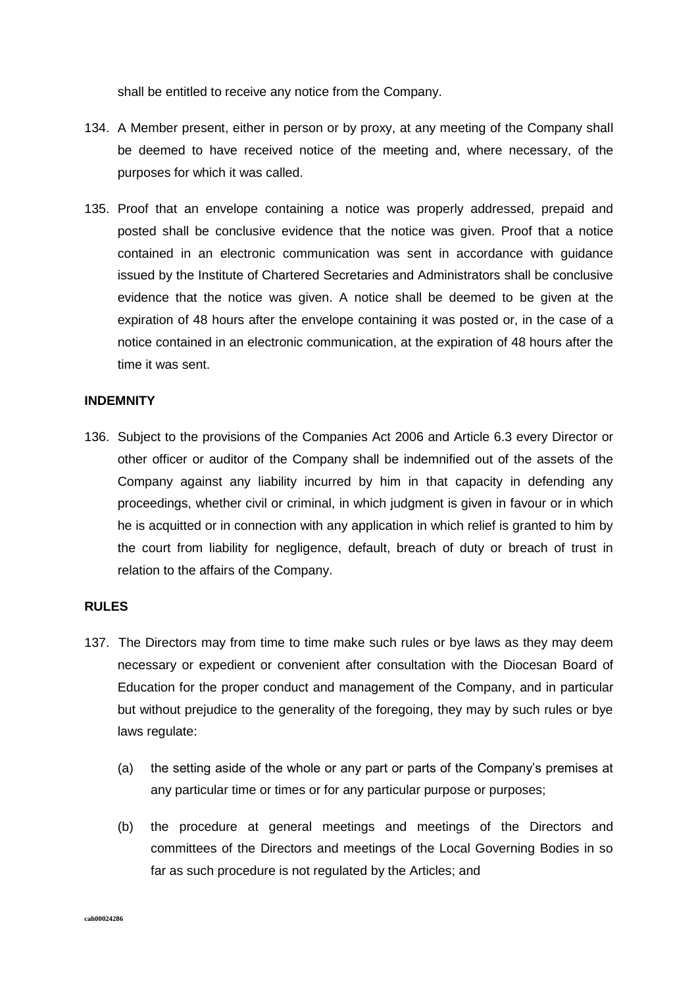shall be entitled to receive any notice from the Company.

- 134. A Member present, either in person or by proxy, at any meeting of the Company shall be deemed to have received notice of the meeting and, where necessary, of the purposes for which it was called.
- 135. Proof that an envelope containing a notice was properly addressed, prepaid and posted shall be conclusive evidence that the notice was given. Proof that a notice contained in an electronic communication was sent in accordance with guidance issued by the Institute of Chartered Secretaries and Administrators shall be conclusive evidence that the notice was given. A notice shall be deemed to be given at the expiration of 48 hours after the envelope containing it was posted or, in the case of a notice contained in an electronic communication, at the expiration of 48 hours after the time it was sent.

#### **INDEMNITY**

136. Subject to the provisions of the Companies Act 2006 and Article 6.3 every Director or other officer or auditor of the Company shall be indemnified out of the assets of the Company against any liability incurred by him in that capacity in defending any proceedings, whether civil or criminal, in which judgment is given in favour or in which he is acquitted or in connection with any application in which relief is granted to him by the court from liability for negligence, default, breach of duty or breach of trust in relation to the affairs of the Company.

#### **RULES**

- 137. The Directors may from time to time make such rules or bye laws as they may deem necessary or expedient or convenient after consultation with the Diocesan Board of Education for the proper conduct and management of the Company, and in particular but without prejudice to the generality of the foregoing, they may by such rules or bye laws regulate:
	- (a) the setting aside of the whole or any part or parts of the Company's premises at any particular time or times or for any particular purpose or purposes;
	- (b) the procedure at general meetings and meetings of the Directors and committees of the Directors and meetings of the Local Governing Bodies in so far as such procedure is not regulated by the Articles; and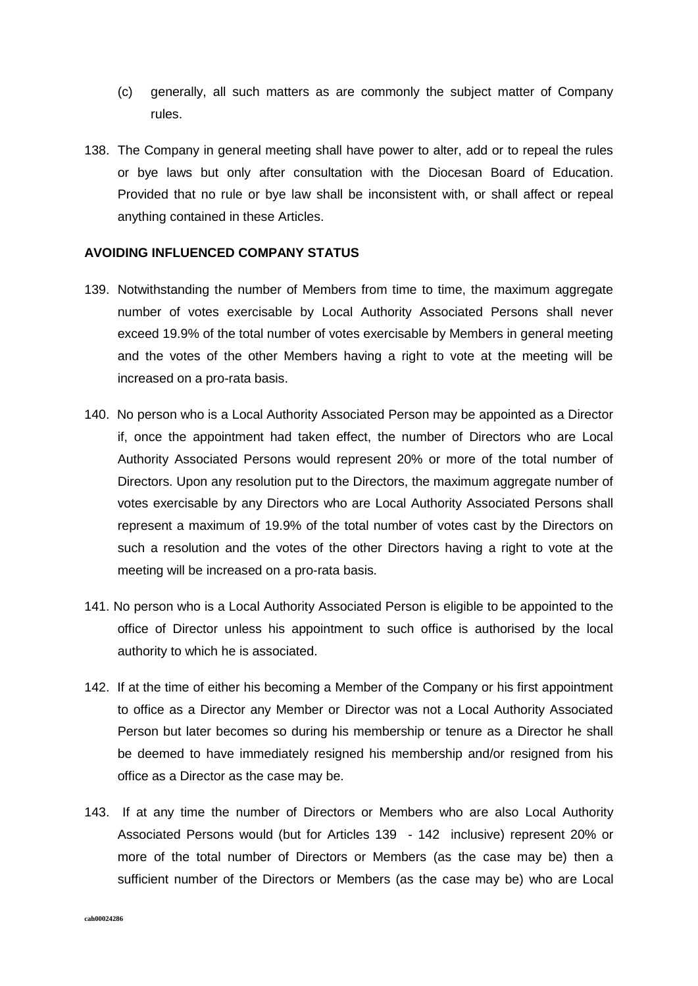- (c) generally, all such matters as are commonly the subject matter of Company rules.
- 138. The Company in general meeting shall have power to alter, add or to repeal the rules or bye laws but only after consultation with the Diocesan Board of Education. Provided that no rule or bye law shall be inconsistent with, or shall affect or repeal anything contained in these Articles.

#### **AVOIDING INFLUENCED COMPANY STATUS**

- 139. Notwithstanding the number of Members from time to time, the maximum aggregate number of votes exercisable by Local Authority Associated Persons shall never exceed 19.9% of the total number of votes exercisable by Members in general meeting and the votes of the other Members having a right to vote at the meeting will be increased on a pro-rata basis.
- 140. No person who is a Local Authority Associated Person may be appointed as a Director if, once the appointment had taken effect, the number of Directors who are Local Authority Associated Persons would represent 20% or more of the total number of Directors. Upon any resolution put to the Directors, the maximum aggregate number of votes exercisable by any Directors who are Local Authority Associated Persons shall represent a maximum of 19.9% of the total number of votes cast by the Directors on such a resolution and the votes of the other Directors having a right to vote at the meeting will be increased on a pro-rata basis.
- 141. No person who is a Local Authority Associated Person is eligible to be appointed to the office of Director unless his appointment to such office is authorised by the local authority to which he is associated.
- 142. If at the time of either his becoming a Member of the Company or his first appointment to office as a Director any Member or Director was not a Local Authority Associated Person but later becomes so during his membership or tenure as a Director he shall be deemed to have immediately resigned his membership and/or resigned from his office as a Director as the case may be.
- 143. If at any time the number of Directors or Members who are also Local Authority Associated Persons would (but for Articles 139 - 142 inclusive) represent 20% or more of the total number of Directors or Members (as the case may be) then a sufficient number of the Directors or Members (as the case may be) who are Local